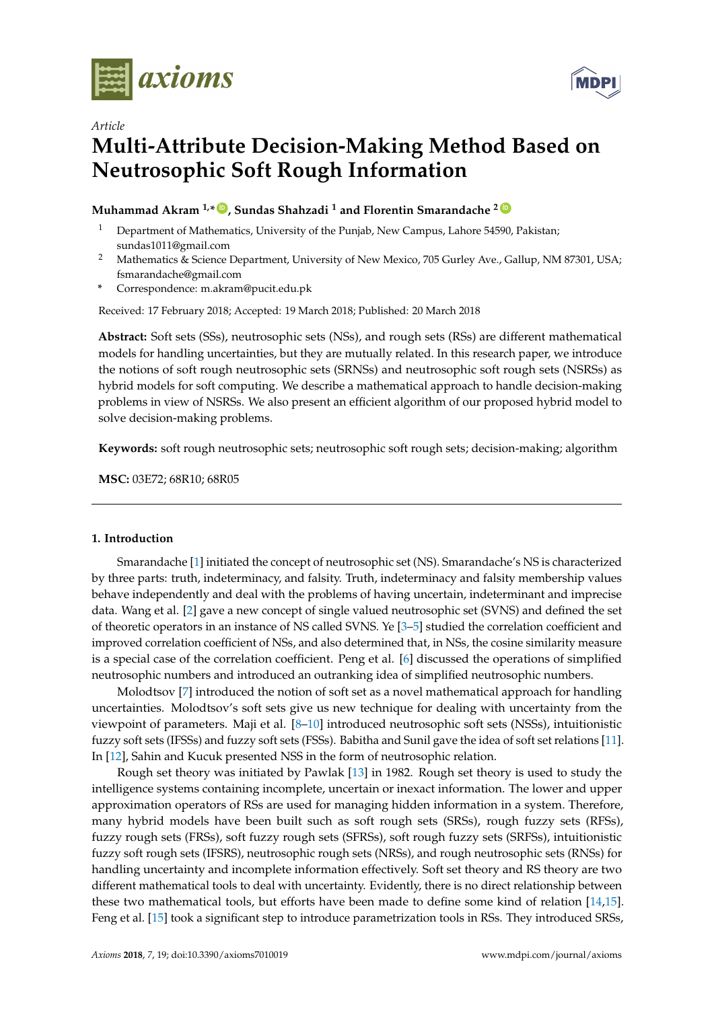



## *Article*

# **Multi-Attribute Decision-Making Method Based on Neutrosophic Soft Rough Information**

# **Muhammad Akram 1,\* [ID](https://orcid.org/0000-0001-7217-7962) , Sundas Shahzadi <sup>1</sup> and Florentin Smarandache <sup>2</sup> [ID](https://orcid.org/0000-0002-5560-5926)**

- <sup>1</sup> Department of Mathematics, University of the Punjab, New Campus, Lahore 54590, Pakistan; sundas1011@gmail.com
- <sup>2</sup> Mathematics & Science Department, University of New Mexico, 705 Gurley Ave., Gallup, NM 87301, USA; fsmarandache@gmail.com
- **\*** Correspondence: m.akram@pucit.edu.pk

Received: 17 February 2018; Accepted: 19 March 2018; Published: 20 March 2018

**Abstract:** Soft sets (SSs), neutrosophic sets (NSs), and rough sets (RSs) are different mathematical models for handling uncertainties, but they are mutually related. In this research paper, we introduce the notions of soft rough neutrosophic sets (SRNSs) and neutrosophic soft rough sets (NSRSs) as hybrid models for soft computing. We describe a mathematical approach to handle decision-making problems in view of NSRSs. We also present an efficient algorithm of our proposed hybrid model to solve decision-making problems.

**Keywords:** soft rough neutrosophic sets; neutrosophic soft rough sets; decision-making; algorithm

**MSC:** 03E72; 68R10; 68R05

## **1. Introduction**

Smarandache [\[1\]](#page-22-0) initiated the concept of neutrosophic set (NS). Smarandache's NS is characterized by three parts: truth, indeterminacy, and falsity. Truth, indeterminacy and falsity membership values behave independently and deal with the problems of having uncertain, indeterminant and imprecise data. Wang et al. [\[2\]](#page-22-1) gave a new concept of single valued neutrosophic set (SVNS) and defined the set of theoretic operators in an instance of NS called SVNS. Ye [\[3–](#page-22-2)[5\]](#page-22-3) studied the correlation coefficient and improved correlation coefficient of NSs, and also determined that, in NSs, the cosine similarity measure is a special case of the correlation coefficient. Peng et al. [\[6\]](#page-22-4) discussed the operations of simplified neutrosophic numbers and introduced an outranking idea of simplified neutrosophic numbers.

Molodtsov [\[7\]](#page-22-5) introduced the notion of soft set as a novel mathematical approach for handling uncertainties. Molodtsov's soft sets give us new technique for dealing with uncertainty from the viewpoint of parameters. Maji et al. [\[8](#page-22-6)[–10\]](#page-22-7) introduced neutrosophic soft sets (NSSs), intuitionistic fuzzy soft sets (IFSSs) and fuzzy soft sets (FSSs). Babitha and Sunil gave the idea of soft set relations [\[11\]](#page-22-8). In [\[12\]](#page-22-9), Sahin and Kucuk presented NSS in the form of neutrosophic relation.

Rough set theory was initiated by Pawlak [\[13\]](#page-22-10) in 1982. Rough set theory is used to study the intelligence systems containing incomplete, uncertain or inexact information. The lower and upper approximation operators of RSs are used for managing hidden information in a system. Therefore, many hybrid models have been built such as soft rough sets (SRSs), rough fuzzy sets (RFSs), fuzzy rough sets (FRSs), soft fuzzy rough sets (SFRSs), soft rough fuzzy sets (SRFSs), intuitionistic fuzzy soft rough sets (IFSRS), neutrosophic rough sets (NRSs), and rough neutrosophic sets (RNSs) for handling uncertainty and incomplete information effectively. Soft set theory and RS theory are two different mathematical tools to deal with uncertainty. Evidently, there is no direct relationship between these two mathematical tools, but efforts have been made to define some kind of relation [\[14,](#page-22-11)[15\]](#page-22-12). Feng et al. [\[15\]](#page-22-12) took a significant step to introduce parametrization tools in RSs. They introduced SRSs,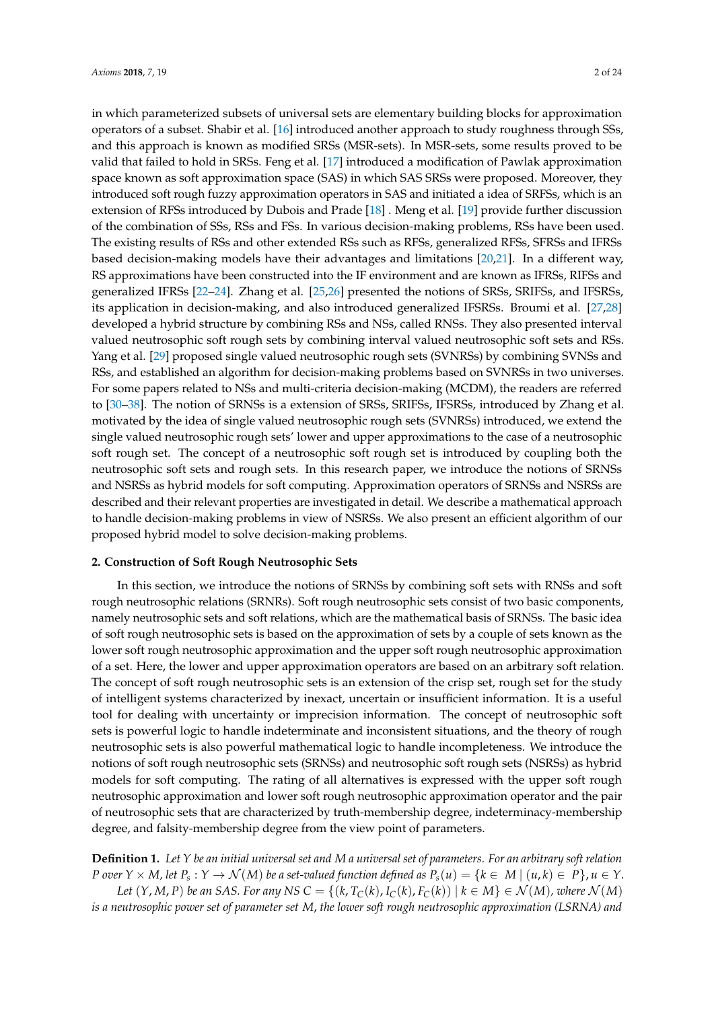in which parameterized subsets of universal sets are elementary building blocks for approximation operators of a subset. Shabir et al. [\[16\]](#page-22-13) introduced another approach to study roughness through SSs, and this approach is known as modified SRSs (MSR-sets). In MSR-sets, some results proved to be valid that failed to hold in SRSs. Feng et al. [\[17\]](#page-22-14) introduced a modification of Pawlak approximation space known as soft approximation space (SAS) in which SAS SRSs were proposed. Moreover, they introduced soft rough fuzzy approximation operators in SAS and initiated a idea of SRFSs, which is an extension of RFSs introduced by Dubois and Prade [\[18\]](#page-22-15) . Meng et al. [\[19\]](#page-22-16) provide further discussion of the combination of SSs, RSs and FSs. In various decision-making problems, RSs have been used. The existing results of RSs and other extended RSs such as RFSs, generalized RFSs, SFRSs and IFRSs based decision-making models have their advantages and limitations [\[20](#page-22-17)[,21\]](#page-22-18). In a different way, RS approximations have been constructed into the IF environment and are known as IFRSs, RIFSs and generalized IFRSs [\[22–](#page-22-19)[24\]](#page-22-20). Zhang et al. [\[25,](#page-22-21)[26\]](#page-22-22) presented the notions of SRSs, SRIFSs, and IFSRSs, its application in decision-making, and also introduced generalized IFSRSs. Broumi et al. [\[27](#page-22-23)[,28\]](#page-22-24) developed a hybrid structure by combining RSs and NSs, called RNSs. They also presented interval valued neutrosophic soft rough sets by combining interval valued neutrosophic soft sets and RSs. Yang et al. [\[29\]](#page-22-25) proposed single valued neutrosophic rough sets (SVNRSs) by combining SVNSs and RSs, and established an algorithm for decision-making problems based on SVNRSs in two universes. For some papers related to NSs and multi-criteria decision-making (MCDM), the readers are referred to [\[30–](#page-23-0)[38\]](#page-23-1). The notion of SRNSs is a extension of SRSs, SRIFSs, IFSRSs, introduced by Zhang et al. motivated by the idea of single valued neutrosophic rough sets (SVNRSs) introduced, we extend the single valued neutrosophic rough sets' lower and upper approximations to the case of a neutrosophic soft rough set. The concept of a neutrosophic soft rough set is introduced by coupling both the neutrosophic soft sets and rough sets. In this research paper, we introduce the notions of SRNSs and NSRSs as hybrid models for soft computing. Approximation operators of SRNSs and NSRSs are described and their relevant properties are investigated in detail. We describe a mathematical approach to handle decision-making problems in view of NSRSs. We also present an efficient algorithm of our proposed hybrid model to solve decision-making problems.

#### **2. Construction of Soft Rough Neutrosophic Sets**

In this section, we introduce the notions of SRNSs by combining soft sets with RNSs and soft rough neutrosophic relations (SRNRs). Soft rough neutrosophic sets consist of two basic components, namely neutrosophic sets and soft relations, which are the mathematical basis of SRNSs. The basic idea of soft rough neutrosophic sets is based on the approximation of sets by a couple of sets known as the lower soft rough neutrosophic approximation and the upper soft rough neutrosophic approximation of a set. Here, the lower and upper approximation operators are based on an arbitrary soft relation. The concept of soft rough neutrosophic sets is an extension of the crisp set, rough set for the study of intelligent systems characterized by inexact, uncertain or insufficient information. It is a useful tool for dealing with uncertainty or imprecision information. The concept of neutrosophic soft sets is powerful logic to handle indeterminate and inconsistent situations, and the theory of rough neutrosophic sets is also powerful mathematical logic to handle incompleteness. We introduce the notions of soft rough neutrosophic sets (SRNSs) and neutrosophic soft rough sets (NSRSs) as hybrid models for soft computing. The rating of all alternatives is expressed with the upper soft rough neutrosophic approximation and lower soft rough neutrosophic approximation operator and the pair of neutrosophic sets that are characterized by truth-membership degree, indeterminacy-membership degree, and falsity-membership degree from the view point of parameters.

<span id="page-1-0"></span>**Definition 1.** *Let Y be an initial universal set and M a universal set of parameters. For an arbitrary soft relation* P over  $Y\times M$ , let  $P_s:Y\to \mathcal{N}(M)$  be a set-valued function defined as  $P_s(u)=\{k\in |M|~(u,k)\in |P\}$ ,  $u\in Y.$ 

Let  $(Y, M, P)$  be an SAS. For any NS  $C = \{(k, T_C(k), I_C(k), F_C(k)) | k \in M\} \in \mathcal{N}(M)$ , where  $\mathcal{N}(M)$ *is a neutrosophic power set of parameter set M*, *the lower soft rough neutrosophic approximation (LSRNA) and*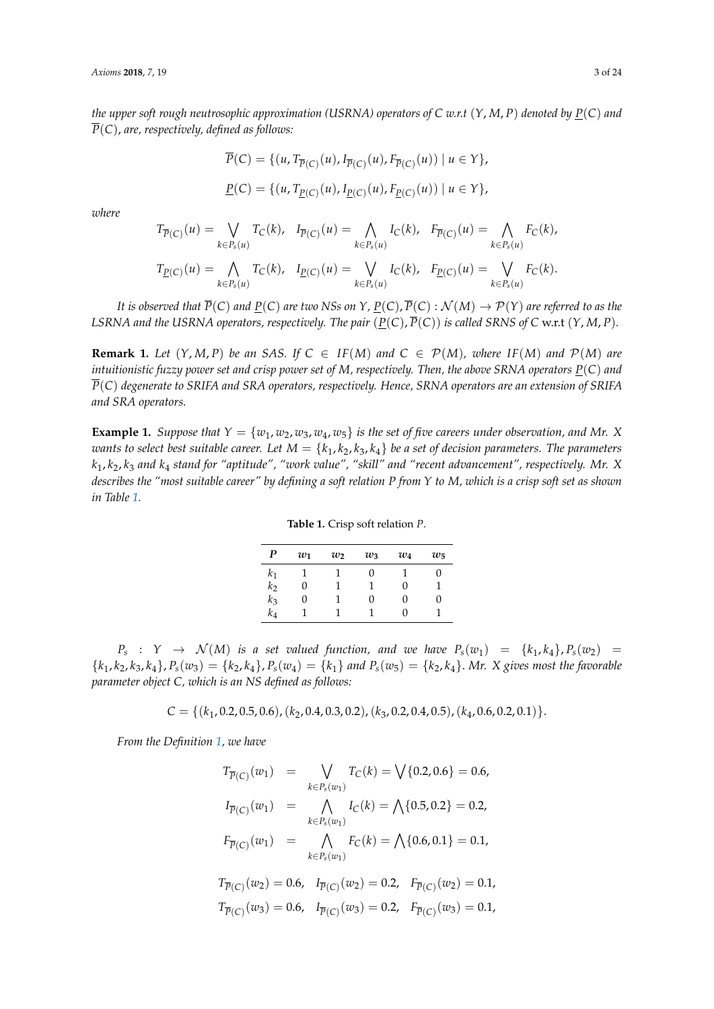*the upper soft rough neutrosophic approximation (USRNA) operators of C w.r.t* (*Y*, *M*, *P*) *denoted by P*(*C*) *and*  $\overline{P}(C)$ , *are, respectively, defined as follows:* 

$$
\overline{P}(C) = \{ (u, T_{\overline{P}(C)}(u), I_{\overline{P}(C)}(u), F_{\overline{P}(C)}(u)) \mid u \in Y \},\
$$
  

$$
\underline{P}(C) = \{ (u, T_{\underline{P}(C)}(u), I_{\underline{P}(C)}(u), F_{\underline{P}(C)}(u)) \mid u \in Y \},\
$$

*where*

$$
T_{\overline{P}(C)}(u) = \bigvee_{k \in P_s(u)} T_C(k), \quad I_{\overline{P}(C)}(u) = \bigwedge_{k \in P_s(u)} I_C(k), \quad F_{\overline{P}(C)}(u) = \bigwedge_{k \in P_s(u)} F_C(k),
$$
  

$$
T_{\underline{P}(C)}(u) = \bigwedge_{k \in P_s(u)} T_C(k), \quad I_{\underline{P}(C)}(u) = \bigvee_{k \in P_s(u)} I_C(k), \quad F_{\underline{P}(C)}(u) = \bigvee_{k \in P_s(u)} F_C(k).
$$

*It is observed that*  $\overline{P}(C)$  *and*  $\underline{P}(C)$  *are two NSs on Y*,  $\underline{P}(C)$ ,  $\overline{P}(C)$  :  $\mathcal{N}(M) \to \mathcal{P}(Y)$  *are referred to as the LSRNA and the USRNA operators, respectively. The pair*  $(\underline{P}(C), \overline{P}(C))$  *is called SRNS of C* w.r.t  $(Y, M, P)$ *.* 

**Remark 1.** *Let*  $(Y, M, P)$  *be an SAS. If*  $C \in IF(M)$  *and*  $C \in P(M)$ *, where*  $IF(M)$  *and*  $P(M)$  *are intuitionistic fuzzy power set and crisp power set of M, respectively. Then, the above SRNA operators P*(*C*) *and P*(*C*) *degenerate to SRIFA and SRA operators, respectively. Hence, SRNA operators are an extension of SRIFA and SRA operators.*

<span id="page-2-1"></span><span id="page-2-0"></span>**Example 1.** *Suppose that*  $Y = \{w_1, w_2, w_3, w_4, w_5\}$  *is the set of five careers under observation, and Mr.* X *wants to select best suitable career. Let*  $M = \{k_1, k_2, k_3, k_4\}$  *be a set of decision parameters. The parameters k*1, *k*2, *k*<sup>3</sup> *and k*<sup>4</sup> *stand for "aptitude", "work value", "skill" and "recent advancement", respectively. Mr. X describes the "most suitable career" by defining a soft relation P from Y to M, which is a crisp soft set as shown in Table [1.](#page-2-0)*

| $\boldsymbol{P}$ | $w_1$ | $w_2$ | $w_3$ | $w_4$ | $w_5$    |
|------------------|-------|-------|-------|-------|----------|
| $k_1$            |       |       | 0     |       | 0        |
| $k_2$            | 0     |       |       | 0     |          |
| $k_3$            | 0     |       | 0     | 0     | $^{(1)}$ |
| $k_4$            |       |       |       | 0     |          |

**Table 1.** Crisp soft relation *P*.

 $P_s$  :  $Y \rightarrow \mathcal{N}(M)$  *is a set valued function, and we have*  $P_s(w_1) = \{k_1, k_4\}, P_s(w_2) = \{k_1, k_4\}$  ${k_1, k_2, k_3, k_4}, P_s(w_3) = {k_2, k_4}, P_s(w_4) = {k_1}$  and  $P_s(w_5) = {k_2, k_4}.$  Mr. X gives most the favorable *parameter object C, which is an NS defined as follows:*

 $C = \{(k_1, 0.2, 0.5, 0.6), (k_2, 0.4, 0.3, 0.2), (k_3, 0.2, 0.4, 0.5), (k_4, 0.6, 0.2, 0.1)\}.$ 

*From the Definition [1,](#page-1-0) we have*

$$
T_{\overline{P}(C)}(w_1) = \bigvee_{k \in P_s(w_1)} T_C(k) = \bigvee \{0.2, 0.6\} = 0.6,
$$
  
\n
$$
I_{\overline{P}(C)}(w_1) = \bigwedge_{k \in P_s(w_1)} I_C(k) = \bigwedge \{0.5, 0.2\} = 0.2,
$$
  
\n
$$
F_{\overline{P}(C)}(w_1) = \bigwedge_{k \in P_s(w_1)} F_C(k) = \bigwedge \{0.6, 0.1\} = 0.1,
$$
  
\n
$$
T_{\overline{P}(C)}(w_2) = 0.6, \quad I_{\overline{P}(C)}(w_2) = 0.2, \quad F_{\overline{P}(C)}(w_2) = 0.1,
$$
  
\n
$$
T_{\overline{P}(C)}(w_3) = 0.6, \quad I_{\overline{P}(C)}(w_3) = 0.2, \quad F_{\overline{P}(C)}(w_3) = 0.1,
$$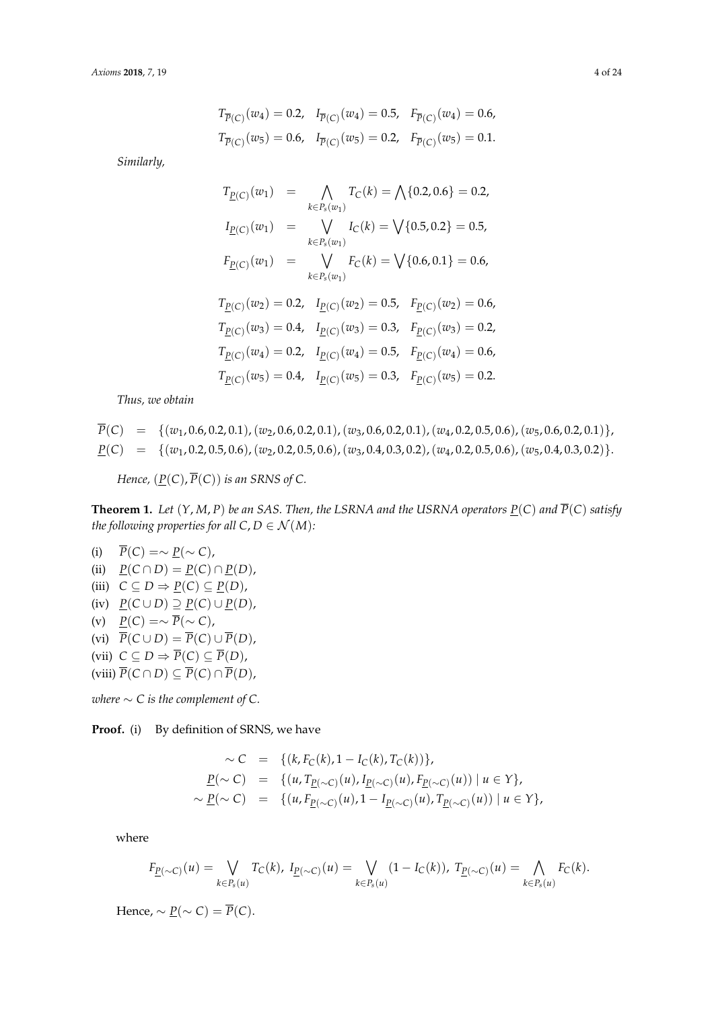$$
T_{\overline{P}(C)}(w_4) = 0.2, \quad I_{\overline{P}(C)}(w_4) = 0.5, \quad F_{\overline{P}(C)}(w_4) = 0.6,
$$
  

$$
T_{\overline{P}(C)}(w_5) = 0.6, \quad I_{\overline{P}(C)}(w_5) = 0.2, \quad F_{\overline{P}(C)}(w_5) = 0.1.
$$

*Similarly,*

$$
T_{\underline{P}(C)}(w_1) = \bigwedge_{k \in P_s(w_1)} T_C(k) = \bigwedge \{0.2, 0.6\} = 0.2,
$$
  
\n
$$
I_{\underline{P}(C)}(w_1) = \bigvee_{k \in P_s(w_1)} I_C(k) = \bigvee \{0.5, 0.2\} = 0.5,
$$
  
\n
$$
F_{\underline{P}(C)}(w_1) = \bigvee_{k \in P_s(w_1)} F_C(k) = \bigvee \{0.6, 0.1\} = 0.6,
$$
  
\n
$$
T_{\underline{P}(C)}(w_2) = 0.2, \quad I_{\underline{P}(C)}(w_2) = 0.5, \quad F_{\underline{P}(C)}(w_2) = 0.6,
$$
  
\n
$$
T_{\underline{P}(C)}(w_3) = 0.4, \quad I_{\underline{P}(C)}(w_3) = 0.3, \quad F_{\underline{P}(C)}(w_3) = 0.2,
$$
  
\n
$$
T_{\underline{P}(C)}(w_4) = 0.2, \quad I_{\underline{P}(C)}(w_4) = 0.5, \quad F_{\underline{P}(C)}(w_4) = 0.6,
$$
  
\n
$$
T_{\underline{P}(C)}(w_5) = 0.4, \quad I_{\underline{P}(C)}(w_5) = 0.3, \quad F_{\underline{P}(C)}(w_5) = 0.2.
$$

*Thus, we obtain*

$$
\overline{P}(C) = \{(w_1, 0.6, 0.2, 0.1), (w_2, 0.6, 0.2, 0.1), (w_3, 0.6, 0.2, 0.1), (w_4, 0.2, 0.5, 0.6), (w_5, 0.6, 0.2, 0.1)\},\
$$
  
\n
$$
\underline{P}(C) = \{(w_1, 0.2, 0.5, 0.6), (w_2, 0.2, 0.5, 0.6), (w_3, 0.4, 0.3, 0.2), (w_4, 0.2, 0.5, 0.6), (w_5, 0.4, 0.3, 0.2)\}.
$$

*Hence,*  $(\underline{P}(C), \overline{P}(C))$  *is an SRNS of C.* 

**Theorem 1.** Let  $(Y, M, P)$  be an SAS. Then, the LSRNA and the USRNA operators  $\underline{P}(C)$  and  $\overline{P}(C)$  satisfy *the following properties for all*  $C, D \in \mathcal{N}(M)$ *:* 

- (i)  $\overline{P}(C) = \sim \underline{P}(\sim C)$ , (ii)  $\underline{P}(C \cap D) = \underline{P}(C) \cap \underline{P}(D)$ , (iii)  $C \subseteq D \Rightarrow P(C) \subseteq P(D)$ ,  $P(C \cup D) \supseteq P(C) \cup P(D)$ , (v)  $\underline{P}(C) = \sim \overline{P}(\sim C)$ , (vi)  $\overline{P}(C \cup D) = \overline{P}(C) \cup \overline{P}(D)$ , (vii)  $C \subseteq D \Rightarrow \overline{P}(C) \subseteq \overline{P}(D)$ ,
- $(\text{viii}) \overline{P}(C \cap D) \subseteq \overline{P}(C) \cap \overline{P}(D)$ ,

*where*  $\sim$  *C is the complement of C.* 

**Proof.** (i) By definition of SRNS, we have

$$
\sim C = \{ (k, F_C(k), 1 - I_C(k), T_C(k)) \},
$$
  
\n
$$
\underline{P}(\sim C) = \{ (u, T_{\underline{P}(\sim C)}(u), I_{\underline{P}(\sim C)}(u), F_{\underline{P}(\sim C)}(u)) \mid u \in Y \},
$$
  
\n
$$
\sim \underline{P}(\sim C) = \{ (u, F_{\underline{P}(\sim C)}(u), 1 - I_{\underline{P}(\sim C)}(u), T_{\underline{P}(\sim C)}(u)) \mid u \in Y \},
$$

where

$$
F_{\underline{P}(\sim C)}(u) = \bigvee_{k \in P_s(u)} T_C(k), \ I_{\underline{P}(\sim C)}(u) = \bigvee_{k \in P_s(u)} (1 - I_C(k)), \ T_{\underline{P}(\sim C)}(u) = \bigwedge_{k \in P_s(u)} F_C(k).
$$

Hence,  $\sim P(\sim C) = \overline{P}(C)$ .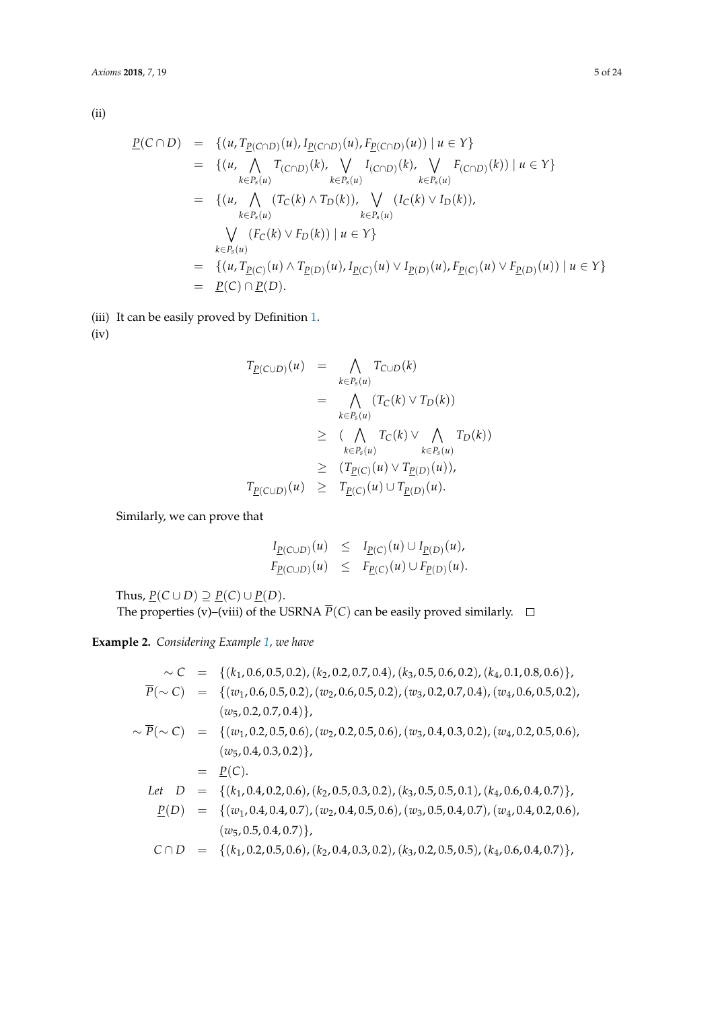(ii)

$$
\underline{P}(C \cap D) = \{ (u, T_{\underline{P}(C \cap D)}(u), I_{\underline{P}(C \cap D)}(u), F_{\underline{P}(C \cap D)}(u)) \mid u \in Y \}
$$
\n
$$
= \{ (u, \bigwedge_{k \in P_s(u)} T_{(C \cap D)}(k), \bigvee_{k \in P_s(u)} I_{(C \cap D)}(k), \bigvee_{k \in P_s(u)} F_{(C \cap D)}(k)) \mid u \in Y \}
$$
\n
$$
= \{ (u, \bigwedge_{k \in P_s(u)} (T_C(k) \land T_D(k)), \bigvee_{k \in P_s(u)} (I_C(k) \lor I_D(k)),
$$
\n
$$
= \bigvee_{k \in P_s(u)} (F_C(k) \lor F_D(k)) \mid u \in Y \}
$$
\n
$$
= \{ (u, T_{\underline{P}(C)}(u) \land T_{\underline{P}(D)}(u), I_{\underline{P}(C)}(u) \lor I_{\underline{P}(D)}(u), F_{\underline{P}(C)}(u) \lor F_{\underline{P}(D)}(u)) \mid u \in Y \}
$$
\n
$$
= \underline{P}(C) \cap \underline{P}(D).
$$

(iii) It can be easily proved by Definition [1.](#page-1-0)

(iv)

$$
T_{\underline{P}(C \cup D)}(u) = \bigwedge_{k \in P_s(u)} T_{C \cup D}(k)
$$
  
\n
$$
= \bigwedge_{k \in P_s(u)} (T_C(k) \vee T_D(k))
$$
  
\n
$$
\geq (\bigwedge_{k \in P_s(u)} T_C(k) \vee \bigwedge_{k \in P_s(u)} T_D(k))
$$
  
\n
$$
\geq (T_{\underline{P}(C)}(u) \vee T_{\underline{P}(D)}(u)),
$$
  
\n
$$
T_{\underline{P}(C \cup D)}(u) \geq T_{\underline{P}(C)}(u) \cup T_{\underline{P}(D)}(u).
$$

Similarly, we can prove that

$$
I_{\underline{P}(C \cup D)}(u) \leq I_{\underline{P}(C)}(u) \cup I_{\underline{P}(D)}(u),
$$
  

$$
F_{\underline{P}(C \cup D)}(u) \leq F_{\underline{P}(C)}(u) \cup F_{\underline{P}(D)}(u).
$$

Thus,  $\underline{P}(C \cup D) \supseteq \underline{P}(C) \cup \underline{P}(D)$ .

The properties (v)–(viii) of the USRNA  $\overline{P}(C)$  can be easily proved similarly.  $\Box$ 

**Example 2.** *Considering Example [1,](#page-2-1) we have*

$$
\sim C = \{ (k_1, 0.6, 0.5, 0.2), (k_2, 0.2, 0.7, 0.4), (k_3, 0.5, 0.6, 0.2), (k_4, 0.1, 0.8, 0.6) \},
$$
  
\n
$$
\overline{P}(\sim C) = \{ (w_1, 0.6, 0.5, 0.2), (w_2, 0.6, 0.5, 0.2), (w_3, 0.2, 0.7, 0.4), (w_4, 0.6, 0.5, 0.2), (w_5, 0.2, 0.7, 0.4) \},
$$
  
\n
$$
\sim \overline{P}(\sim C) = \{ (w_1, 0.2, 0.5, 0.6), (w_2, 0.2, 0.5, 0.6), (w_3, 0.4, 0.3, 0.2), (w_4, 0.2, 0.5, 0.6), (w_5, 0.4, 0.3, 0.2) \},
$$
  
\n
$$
= \underline{P}(C).
$$
  
\nLet  $D = \{(k_1, 0.4, 0.2, 0.6), (k_2, 0.5, 0.3, 0.2), (k_3, 0.5, 0.5, 0.1), (k_4, 0.6, 0.4, 0.7) \},$   
\n
$$
\underline{P}(D) = \{(w_1, 0.4, 0.4, 0.7), (w_2, 0.4, 0.5, 0.6), (w_3, 0.5, 0.4, 0.7), (w_4, 0.4, 0.2, 0.6), (w_5, 0.5, 0.4, 0.7)\},
$$
  
\n
$$
C \cap D = \{(k_1, 0.2, 0.5, 0.6), (k_2, 0.4, 0.3, 0.2), (k_3, 0.2, 0.5, 0.5), (k_4, 0.6, 0.4, 0.7)\},
$$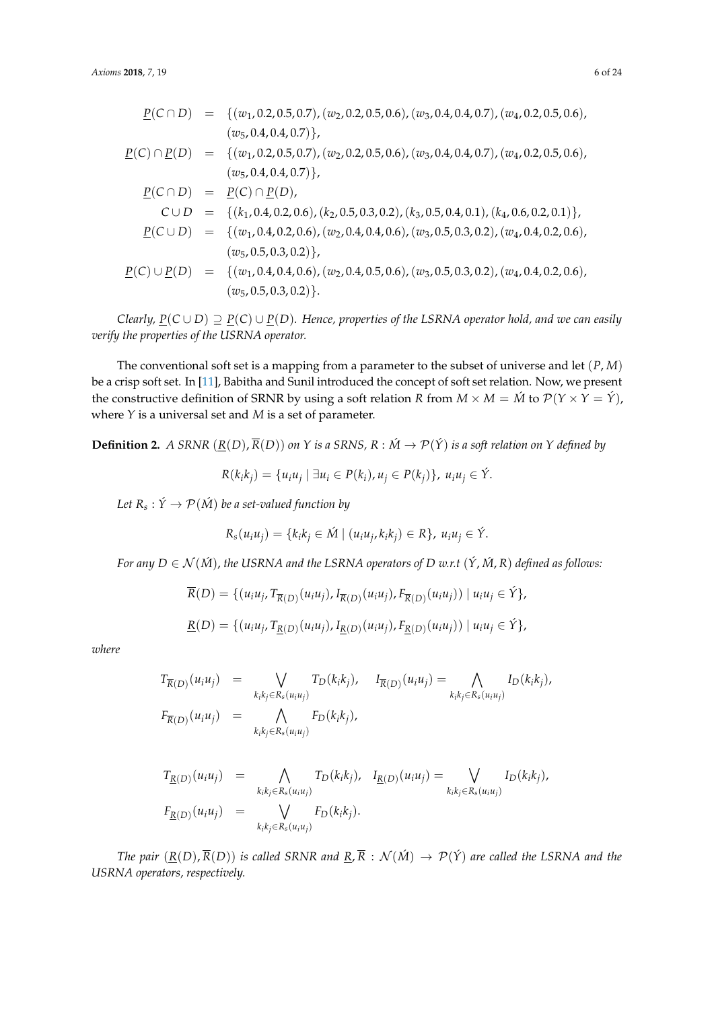$$
\underline{P}(C \cap D) = \{(w_1, 0.2, 0.5, 0.7), (w_2, 0.2, 0.5, 0.6), (w_3, 0.4, 0.4, 0.7), (w_4, 0.2, 0.5, 0.6), (w_5, 0.4, 0.4, 0.7)\}
$$
\n
$$
P(C) \cap \underline{P}(D) = \{(w_1, 0.2, 0.5, 0.7), (w_2, 0.2, 0.5, 0.6), (w_3, 0.4, 0.4, 0.7), (w_4, 0.2, 0.5, 0.6), (w_5, 0.4, 0.4, 0.7)\}
$$
\n
$$
P(C \cap D) = \underline{P}(C) \cap \underline{P}(D),
$$
\n
$$
C \cup D = \{(k_1, 0.4, 0.2, 0.6), (k_2, 0.5, 0.3, 0.2), (k_3, 0.5, 0.4, 0.1), (k_4, 0.6, 0.2, 0.1)\}
$$
\n
$$
\underline{P}(C \cup D) = \{(w_1, 0.4, 0.2, 0.6), (w_2, 0.4, 0.4, 0.6), (w_3, 0.5, 0.3, 0.2), (w_4, 0.4, 0.2, 0.6), (w_5, 0.5, 0.3, 0.2)\}
$$
\n
$$
P(C) \cup \underline{P}(D) = \{(w_1, 0.4, 0.4, 0.6), (w_2, 0.4, 0.5, 0.6), (w_3, 0.5, 0.3, 0.2), (w_4, 0.4, 0.2, 0.6), (w_5, 0.5, 0.3, 0.2)\}
$$

*Clearly,*  $P(C \cup D) \supseteq P(C) \cup P(D)$ . Hence, properties of the LSRNA operator hold, and we can easily *verify the properties of the USRNA operator.*

The conventional soft set is a mapping from a parameter to the subset of universe and let (*P*, *M*) be a crisp soft set. In [\[11\]](#page-22-8), Babitha and Sunil introduced the concept of soft set relation. Now, we present the constructive definition of SRNR by using a soft relation *R* from  $M \times M = \hat{M}$  to  $\mathcal{P}(Y \times Y = \hat{Y})$ , where *Y* is a universal set and *M* is a set of parameter.

**Definition 2.** *A SRNR*  $(\underline{R}(D), \overline{R}(D))$  *on Y is a SRNS, R* :  $\acute{M} \rightarrow \mathcal{P}(\acute{Y})$  *is a soft relation on Y defined by* 

$$
R(k_i k_j) = \{u_i u_j \mid \exists u_i \in P(k_i), u_j \in P(k_j)\}, u_i u_j \in \hat{Y}.
$$

Let  $R_s: \acute{Y} \rightarrow \mathcal{P}(\acute{M})$  be a set-valued function by

$$
R_s(u_iu_j)=\{k_ik_j\in \acute{M}\mid (u_iu_j,k_ik_j)\in R\},\ u_iu_j\in \acute{Y}.
$$

*For any D*  $\in$   $\mathcal{N}(\hat{M})$ , *the USRNA and the LSRNA operators of D w.r.t*  $(\hat{Y}, \hat{M}, R)$  *defined as follows:* 

$$
\overline{R}(D) = \{ (u_i u_j, T_{\overline{R}(D)}(u_i u_j), I_{\overline{R}(D)}(u_i u_j), F_{\overline{R}(D)}(u_i u_j)) | u_i u_j \in \acute{Y} \},\
$$
  

$$
\underline{R}(D) = \{ (u_i u_j, T_{\underline{R}(D)}(u_i u_j), I_{\underline{R}(D)}(u_i u_j), F_{\underline{R}(D)}(u_i u_j)) | u_i u_j \in \acute{Y} \},
$$

*where*

$$
T_{\overline{R}(D)}(u_iu_j) = \bigvee_{k_ik_j \in R_s(u_iu_j)} T_D(k_ik_j), \quad I_{\overline{R}(D)}(u_iu_j) = \bigwedge_{k_ik_j \in R_s(u_iu_j)} I_D(k_ik_j),
$$
  

$$
F_{\overline{R}(D)}(u_iu_j) = \bigwedge_{k_ik_j \in R_s(u_iu_j)} F_D(k_ik_j),
$$

$$
T_{\underline{R}(D)}(u_i u_j) = \bigwedge_{k_i k_j \in R_s(u_i u_j)} T_D(k_i k_j), \quad I_{\underline{R}(D)}(u_i u_j) = \bigvee_{k_i k_j \in R_s(u_i u_j)} I_D(k_i k_j),
$$
  

$$
F_{\underline{R}(D)}(u_i u_j) = \bigvee_{k_i k_j \in R_s(u_i u_j)} F_D(k_i k_j).
$$

*The pair*  $(\underline{R}(D), \overline{R}(D))$  *is called SRNR and*  $\underline{R}, \overline{R} : \mathcal{N}(\hat{M}) \to \mathcal{P}(\hat{Y})$  *are called the LSRNA and the USRNA operators, respectively.*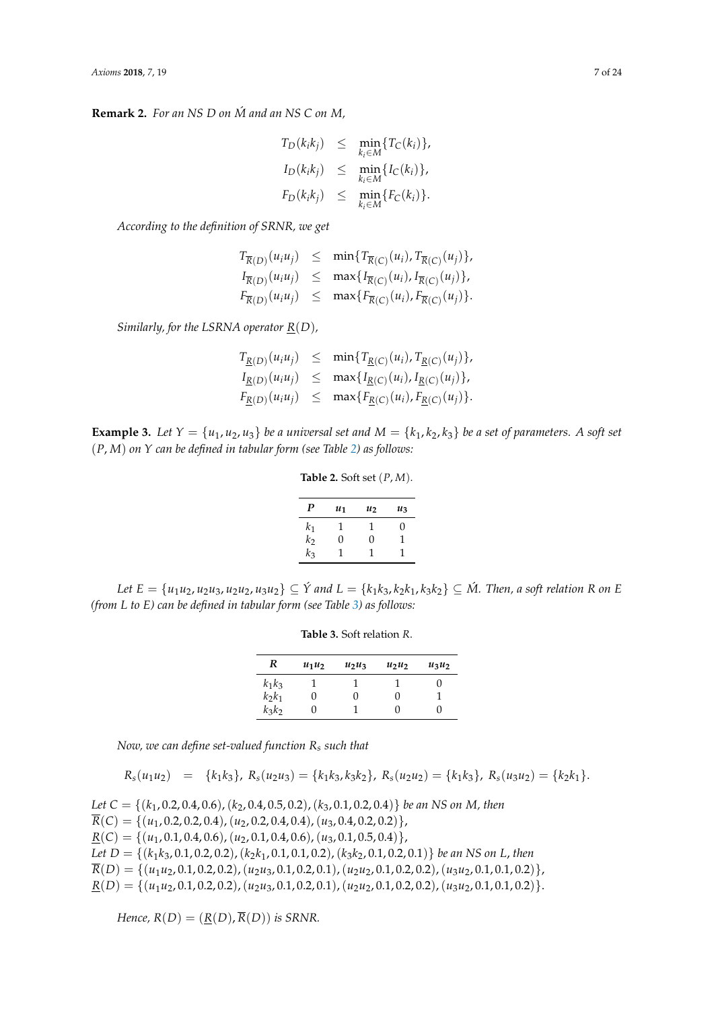**Remark 2.** *For an NS D on M and an NS C on M,* ´

$$
T_D(k_ik_j) \leq \min_{k_i \in M} \{T_C(k_i)\},
$$
  
\n
$$
I_D(k_ik_j) \leq \min_{k_i \in M} \{I_C(k_i)\},
$$
  
\n
$$
F_D(k_ik_j) \leq \min_{k_i \in M} \{F_C(k_i)\}.
$$

*According to the definition of SRNR, we get*

$$
T_{\overline{R}(D)}(u_i u_j) \leq \min\{T_{\overline{R}(C)}(u_i), T_{\overline{R}(C)}(u_j)\},
$$
  
\n
$$
I_{\overline{R}(D)}(u_i u_j) \leq \max\{I_{\overline{R}(C)}(u_i), I_{\overline{R}(C)}(u_j)\},
$$
  
\n
$$
F_{\overline{R}(D)}(u_i u_j) \leq \max\{F_{\overline{R}(C)}(u_i), F_{\overline{R}(C)}(u_j)\}.
$$

*Similarly, for the LSRNA operator R*(*D*)*,*

 $T_{\underline{R}(D)}(u_iu_j) \leq \min\{T_{\underline{R}(C)}(u_i), T_{\underline{R}(C)}(u_j)\},$  $I_{\underline{R}(D)}(u_i u_j) \leq \max\{I_{\underline{R}(C)}(u_i), I_{\underline{R}(C)}(u_j)\},$  $F_{\underline{R}(D)}(u_i u_j) \leq \max\{F_{\underline{R}(C)}(u_i), F_{\underline{R}(C)}(u_j)\}.$ 

<span id="page-6-0"></span>**Example 3.** Let  $Y = \{u_1, u_2, u_3\}$  be a universal set and  $M = \{k_1, k_2, k_3\}$  be a set of parameters. A soft set (*P*, *M*) *on Y can be defined in tabular form (see Table [2\)](#page-6-0) as follows:*

**Table 2.** Soft set (*P*, *M*).

| P              | $u_1$ | $u_2$ | $u_3$             |
|----------------|-------|-------|-------------------|
| $k_1$          | Τ     | ı     | $\mathbf{\Omega}$ |
| k <sub>2</sub> | 0     | O     | 1                 |
| $k_3$          |       | 1     |                   |

<span id="page-6-1"></span>Let  $E = \{u_1u_2, u_2u_3, u_2u_2, u_3u_2\} \subseteq \hat{Y}$  and  $L = \{k_1k_3, k_2k_1, k_3k_2\} \subseteq \hat{M}$ . Then, a soft relation R on E *(from L to E) can be defined in tabular form (see Table [3\)](#page-6-1) as follows:*

**Table 3.** Soft relation *R*.

| R        | $u_1u_2$ | $u_2u_3$ | $u_2u_2$ | $u_3u_2$ |
|----------|----------|----------|----------|----------|
| $k_1k_3$ |          |          |          | 0        |
| $k_2k_1$ | 0        | 0        | 0        |          |
| $k_3k_2$ | 0        |          | 0        | 0        |

*Now, we can define set-valued function R<sup>s</sup> such that*

$$
R_s(u_1u_2) = \{k_1k_3\}, R_s(u_2u_3) = \{k_1k_3, k_3k_2\}, R_s(u_2u_2) = \{k_1k_3\}, R_s(u_3u_2) = \{k_2k_1\}.
$$

*Let C* = {(*k*1, 0.2, 0.4, 0.6),(*k*2, 0.4, 0.5, 0.2),(*k*3, 0.1, 0.2, 0.4)} *be an NS on M, then*  $\overline{R}(C) = \{(u_1, 0.2, 0.2, 0.4), (u_2, 0.2, 0.4, 0.4), (u_3, 0.4, 0.2, 0.2)\},\$  $\underline{R}(C) = \{(u_1, 0.1, 0.4, 0.6), (u_2, 0.1, 0.4, 0.6), (u_3, 0.1, 0.5, 0.4)\},\$ *Let D* = {(*k*1*k*3, 0.1, 0.2, 0.2),(*k*2*k*1, 0.1, 0.1, 0.2),(*k*3*k*2, 0.1, 0.2, 0.1)} *be an NS on L*, *then*  $\overline{R}(D) = \{(u_1u_2, 0.1, 0.2, 0.2), (u_2u_3, 0.1, 0.2, 0.1), (u_2u_2, 0.1, 0.2, 0.2), (u_3u_2, 0.1, 0.1, 0.2)\},\}$  $\underline{R}(D) = \{ (u_1u_2, 0.1, 0.2, 0.2), (u_2u_3, 0.1, 0.2, 0.1), (u_2u_2, 0.1, 0.2, 0.2), (u_3u_2, 0.1, 0.1, 0.2) \}.$ 

*Hence,*  $R(D) = (R(D), \overline{R}(D))$  *is SRNR.*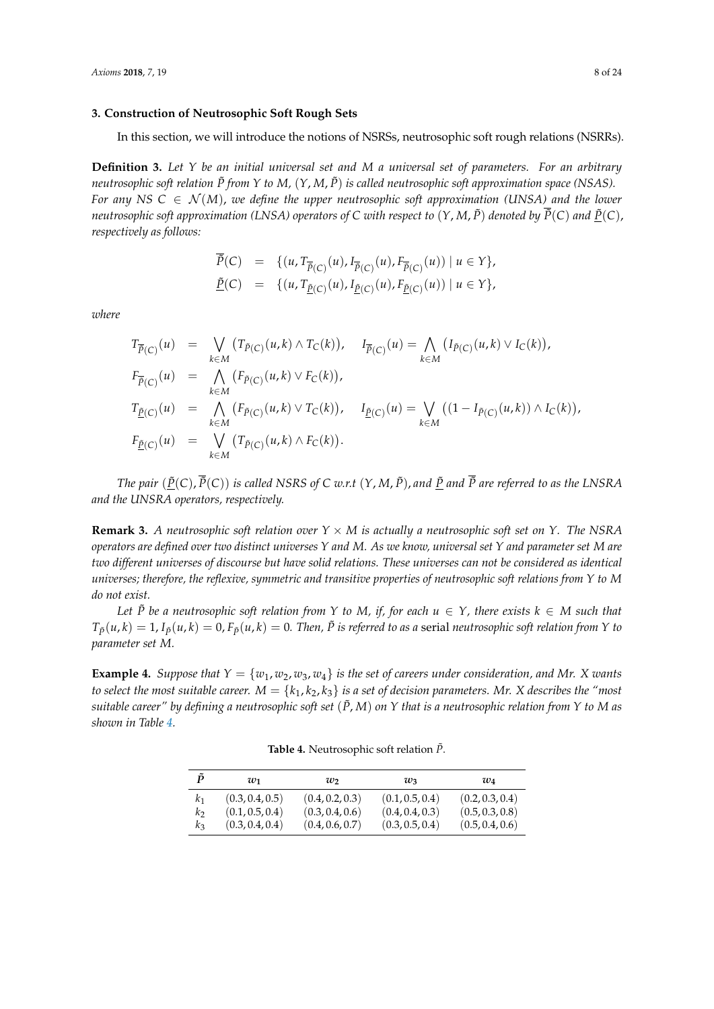#### **3. Construction of Neutrosophic Soft Rough Sets**

In this section, we will introduce the notions of NSRSs, neutrosophic soft rough relations (NSRRs).

<span id="page-7-1"></span>**Definition 3.** *Let Y be an initial universal set and M a universal set of parameters. For an arbitrary neutrosophic soft relation*  $\tilde{P}$  *from Y to M,*  $(Y, M, \tilde{P})$  *is called neutrosophic soft approximation space* (NSAS). *For any NS*  $C \in \mathcal{N}(M)$ , we define the upper neutrosophic soft approximation (UNSA) and the lower *neutrosophic soft approximation (LNSA) operators of C with respect to*  $(Y, M, \tilde{P})$  *denoted by*  $\tilde{P}(C)$  *and*  $\underline{P}(C)$ , *respectively as follows:*

$$
\tilde{P}(C) = \{ (u, T_{\overline{P}(C)}(u), I_{\overline{P}(C)}(u), F_{\overline{P}(C)}(u)) \mid u \in Y \},\
$$
  

$$
\underline{\tilde{P}}(C) = \{ (u, T_{\underline{\tilde{P}}(C)}(u), I_{\underline{\tilde{P}}(C)}(u), F_{\underline{\tilde{P}}(C)}(u)) \mid u \in Y \},\
$$

*where*

$$
T_{\bar{\tilde{P}}(C)}(u) = \bigvee_{k \in M} (T_{\tilde{P}(C)}(u,k) \wedge T_{C}(k)), \quad I_{\bar{\tilde{P}}(C)}(u) = \bigwedge_{k \in M} (I_{\tilde{P}(C)}(u,k) \vee I_{C}(k)),
$$
  
\n
$$
F_{\bar{\tilde{P}}(C)}(u) = \bigwedge_{k \in M} (F_{\tilde{P}(C)}(u,k) \vee F_{C}(k)),
$$
  
\n
$$
T_{\underline{\tilde{P}}(C)}(u) = \bigwedge_{k \in M} (F_{\tilde{P}(C)}(u,k) \vee T_{C}(k)), \quad I_{\underline{\tilde{P}}(C)}(u) = \bigvee_{k \in M} ((1 - I_{\tilde{P}(C)}(u,k)) \wedge I_{C}(k)),
$$
  
\n
$$
F_{\underline{\tilde{P}}(C)}(u) = \bigvee_{k \in M} (T_{\tilde{P}(C)}(u,k) \wedge F_{C}(k)).
$$

*The pair*  $(\tilde{P}(C), \overline{\tilde{P}}(C))$  *is called NSRS of C w.r.t*  $(Y, M, \tilde{P})$ *, and*  $\tilde{P}$  *and*  $\overline{P}$  *are referred to as the LNSRA and the UNSRA operators, respectively.*

**Remark 3.** *A neutrosophic soft relation over*  $Y \times M$  *is actually a neutrosophic soft set on*  $Y$ *. The NSRA operators are defined over two distinct universes Y and M. As we know, universal set Y and parameter set M are two different universes of discourse but have solid relations. These universes can not be considered as identical universes; therefore, the reflexive, symmetric and transitive properties of neutrosophic soft relations from Y to M do not exist.*

*Let*  $\tilde{P}$  *be a neutrosophic soft relation from Y to M, if, for each*  $u \in Y$ *, there exists*  $k \in M$  *such that*  $T_{\tilde{p}}(u,k)=1$ ,  $I_{\tilde{p}}(u,k)=0$ ,  $F_{\tilde{p}}(u,k)=0$ . Then,  $\tilde{P}$  is referred to as a serial neutrosophic soft relation from Y to *parameter set M.*

<span id="page-7-0"></span>**Example 4.** *Suppose that*  $Y = \{w_1, w_2, w_3, w_4\}$  *is the set of careers under consideration, and Mr. X wants to select the most suitable career.*  $M = \{k_1, k_2, k_3\}$  *is a set of decision parameters. Mr. X describes the "most suitable career" by defining a neutrosophic soft set*  $(\tilde{P}, M)$  *on*  $Y$  *that is a neutrosophic relation from*  $Y$  *to*  $M$  *as shown in Table [4.](#page-7-0)*

**Table 4.** Neutrosophic soft relation  $\tilde{P}$ .

| P       | $w_1$           | w               | $w_3$           | $w_4$           |
|---------|-----------------|-----------------|-----------------|-----------------|
| $k_{1}$ | (0.3, 0.4, 0.5) | (0.4, 0.2, 0.3) | (0.1, 0.5, 0.4) | (0.2, 0.3, 0.4) |
| k2      | (0.1, 0.5, 0.4) | (0.3, 0.4, 0.6) | (0.4, 0.4, 0.3) | (0.5, 0.3, 0.8) |
| kz      | (0.3, 0.4, 0.4) | (0.4, 0.6, 0.7) | (0.3, 0.5, 0.4) | (0.5, 0.4, 0.6) |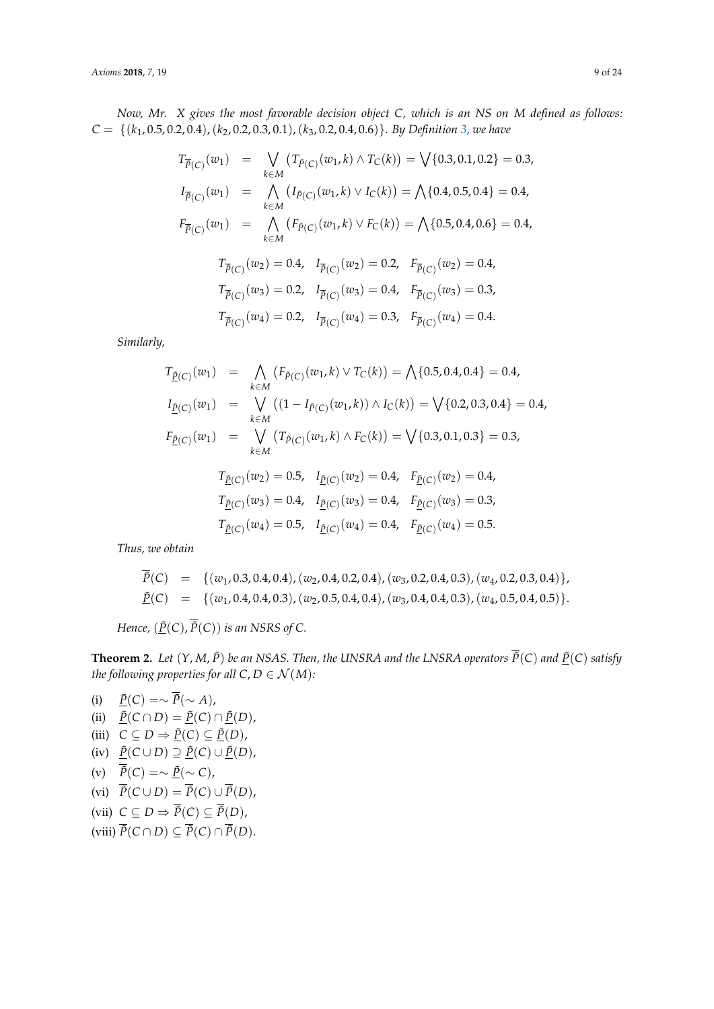*Now, Mr. X gives the most favorable decision object C, which is an NS on M defined as follows: C* = {(*k*1, 0.5, 0.2, 0.4),(*k*2, 0.2, 0.3, 0.1),(*k*3, 0.2, 0.4, 0.6)}*. By Definition [3,](#page-7-1) we have*

$$
T_{\overline{\tilde{P}}(C)}(w_1) = \bigvee_{k \in M} (T_{\tilde{P}(C)}(w_1, k) \wedge T_C(k)) = \bigvee \{0.3, 0.1, 0.2\} = 0.3,
$$
  
\n
$$
I_{\overline{\tilde{P}}(C)}(w_1) = \bigwedge_{k \in M} (I_{\tilde{P}(C)}(w_1, k) \vee I_C(k)) = \bigwedge \{0.4, 0.5, 0.4\} = 0.4,
$$
  
\n
$$
F_{\overline{\tilde{P}}(C)}(w_1) = \bigwedge_{k \in M} (F_{\tilde{P}(C)}(w_1, k) \vee F_C(k)) = \bigwedge \{0.5, 0.4, 0.6\} = 0.4,
$$
  
\n
$$
T_{\overline{\tilde{P}}(C)}(w_2) = 0.4, \quad I_{\overline{\tilde{P}}(C)}(w_2) = 0.2, \quad F_{\overline{\tilde{P}}(C)}(w_2) = 0.4,
$$
  
\n
$$
T_{\overline{\tilde{P}}(C)}(w_3) = 0.2, \quad I_{\overline{\tilde{P}}(C)}(w_3) = 0.4, \quad F_{\overline{\tilde{P}}(C)}(w_3) = 0.3,
$$
  
\n
$$
T_{\overline{\tilde{P}}(C)}(w_4) = 0.2, \quad I_{\overline{\tilde{P}}(C)}(w_4) = 0.3, \quad F_{\overline{\tilde{P}}(C)}(w_4) = 0.4.
$$

*Similarly,*

$$
T_{\underline{\tilde{P}}(C)}(w_1) = \bigwedge_{k \in M} (F_{\tilde{P}(C)}(w_1, k) \vee T_C(k)) = \bigwedge \{0.5, 0.4, 0.4\} = 0.4,
$$
  
\n
$$
I_{\underline{\tilde{P}}(C)}(w_1) = \bigvee_{k \in M} ((1 - I_{\tilde{P}(C)}(w_1, k)) \wedge I_C(k)) = \bigvee \{0.2, 0.3, 0.4\} = 0.4,
$$
  
\n
$$
F_{\underline{\tilde{P}}(C)}(w_1) = \bigvee_{k \in M} (T_{\tilde{P}(C)}(w_1, k) \wedge F_C(k)) = \bigvee \{0.3, 0.1, 0.3\} = 0.3,
$$
  
\n
$$
T_{\underline{\tilde{P}}(C)}(w_2) = 0.5, \quad I_{\underline{\tilde{P}}(C)}(w_2) = 0.4, \quad F_{\underline{\tilde{P}}(C)}(w_2) = 0.4,
$$
  
\n
$$
T_{\underline{\tilde{P}}(C)}(w_3) = 0.4, \quad I_{\underline{\tilde{P}}(C)}(w_3) = 0.4, \quad F_{\underline{\tilde{P}}(C)}(w_3) = 0.3,
$$
  
\n
$$
T_{\underline{\tilde{P}}(C)}(w_4) = 0.5, \quad I_{\underline{\tilde{P}}(C)}(w_4) = 0.4, \quad F_{\underline{\tilde{P}}(C)}(w_4) = 0.5.
$$

*Thus, we obtain*

$$
\tilde{P}(C) = \{(w_1, 0.3, 0.4, 0.4), (w_2, 0.4, 0.2, 0.4), (w_3, 0.2, 0.4, 0.3), (w_4, 0.2, 0.3, 0.4)\}, \n\underline{\tilde{P}}(C) = \{(w_1, 0.4, 0.4, 0.3), (w_2, 0.5, 0.4, 0.4), (w_3, 0.4, 0.4, 0.3), (w_4, 0.5, 0.4, 0.5)\}.
$$

*Hence,*  $(\underline{\tilde{P}}(C), \overline{\tilde{P}}(C))$  *is an NSRS of C.* 

**Theorem 2.** Let  $(Y, M, \tilde{P})$  be an NSAS. Then, the UNSRA and the LNSRA operators  $\overline{\tilde{P}}(C)$  and  $\underline{\tilde{P}}(C)$  satisfy *the following properties for all*  $C, D \in \mathcal{N}(M)$ *:* 

(i)  $\underline{\tilde{P}}(C) = \sim \overline{\tilde{P}}(\sim A),$ (ii)  $\overline{P}(C \cap D) = \overline{P}(C) \cap \overline{P}(D)$ , (iii)  $C \subseteq D \Rightarrow \underline{\tilde{P}}(C) \subseteq \underline{\tilde{P}}(D)$ ,  $(iv)$   $\underline{\tilde{P}}(C \cup D) \supseteq \underline{\tilde{P}}(C) \cup \underline{\tilde{P}}(D)$ , (v)  $\overline{\tilde{P}}(C) = \sim \underline{\tilde{P}}(\sim C)$ , (vi)  $\overline{\tilde{P}}(C \cup D) = \overline{\tilde{P}}(C) \cup \overline{\tilde{P}}(D)$ , (vii)  $C \subseteq D \Rightarrow \overline{\tilde{P}}(C) \subseteq \overline{\tilde{P}}(D)$ ,  $(viii) \overline{\tilde{P}}(C \cap D) \subseteq \overline{\tilde{P}}(C) \cap \overline{\tilde{P}}(D).$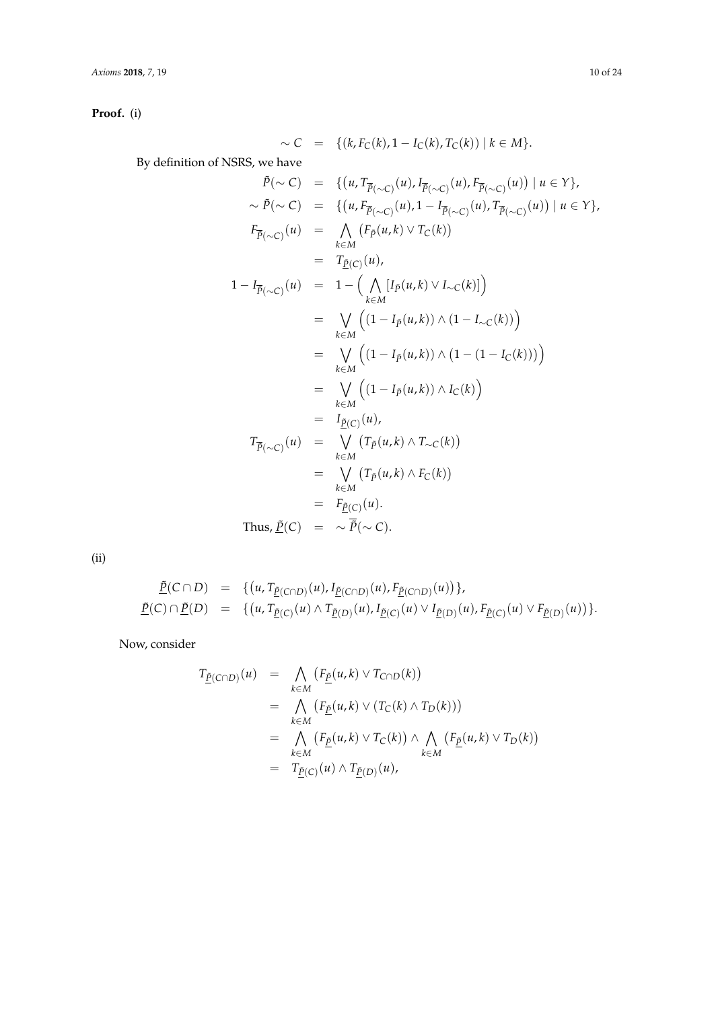*Axioms* **2018**, *7*, 19 10 of 24

**Proof.** (i)

$$
\begin{aligned}\n&\sim C &= \{(k, F_C(k), 1 - I_C(k), T_C(k)) \mid k \in M\}. \\
&\text{By definition of NSRS, we have} \\
&\tilde{P}(\sim C) &= \{(u, T_{\overline{P}(\sim C)}(u), I_{\overline{P}(\sim C)}(u), F_{\overline{P}(\sim C)}(u)) \mid u \in Y\}, \\
&\sim \tilde{P}(\sim C) &= \{(u, F_{\overline{P}(\sim C)}(u), 1 - I_{\overline{P}(\sim C)}(u), T_{\overline{P}(\sim C)}(u)) \mid u \in Y\}, \\
&\Gamma_{\overline{P}(\sim C)}(u) &= \bigwedge_{k \in M} (F_{\hat{P}}(u, k) \vee T_C(k)) \\
&= T_{\underline{P}(C)}(u), \\
1 - I_{\overline{P}(\sim C)}(u) &= 1 - \left(\bigwedge_{k \in M} [I_P(u, k) \vee I_{\sim C}(k)]\right) \\
&= \bigvee_{k \in M} \left((1 - I_P(u, k)) \wedge (1 - I_{\sim C}(k))\right) \\
&= \bigvee_{k \in M} \left((1 - I_P(u, k)) \wedge (1 - (1 - I_C(k)))\right) \\
&= \bigvee_{k \in M} \left((1 - I_P(u, k)) \wedge I_C(k)\right) \\
&= I_{\underline{P}(C)}(u), \\
T_{\overline{P}(\sim C)}(u) &= \bigvee_{k \in M} (T_{\overline{P}}(u, k) \wedge T_{\sim C}(k)) \\
&= \bigvee_{k \in M} (T_P(u, k) \wedge F_C(k)) \\
&= F_{\underline{P}(C)}(u). \\
\text{Thus, } \underline{\tilde{P}(C)} &= \sim \overline{\tilde{P}(\sim C)}.\n\end{aligned}
$$

(ii)

$$
\underline{\tilde{P}}(C \cap D) = \{ (u, T_{\underline{\tilde{P}}(C \cap D)}(u), I_{\underline{\tilde{P}}(C \cap D)}(u), F_{\underline{\tilde{P}}(C \cap D)}(u)) \}, \n\underline{\tilde{P}}(C) \cap \underline{\tilde{P}}(D) = \{ (u, T_{\underline{\tilde{P}}(C)}(u) \wedge T_{\underline{\tilde{P}}(D)}(u), I_{\underline{\tilde{P}}(C)}(u) \vee I_{\underline{\tilde{P}}(D)}(u), F_{\underline{\tilde{P}}(C)}(u) \vee F_{\underline{\tilde{P}}(D)}(u) ) \}.
$$

Now, consider

$$
T_{\underline{\tilde{P}}(C\cap D)}(u) = \bigwedge_{k\in M} (F_{\underline{\tilde{P}}}(u,k) \vee T_{C\cap D}(k))
$$
  
\n
$$
= \bigwedge_{k\in M} (F_{\underline{\tilde{P}}}(u,k) \vee (T_{C}(k) \wedge T_{D}(k)))
$$
  
\n
$$
= \bigwedge_{k\in M} (F_{\underline{\tilde{P}}}(u,k) \vee T_{C}(k)) \wedge \bigwedge_{k\in M} (F_{\underline{\tilde{P}}}(u,k) \vee T_{D}(k))
$$
  
\n
$$
= T_{\underline{\tilde{P}}(C)}(u) \wedge T_{\underline{\tilde{P}}(D)}(u),
$$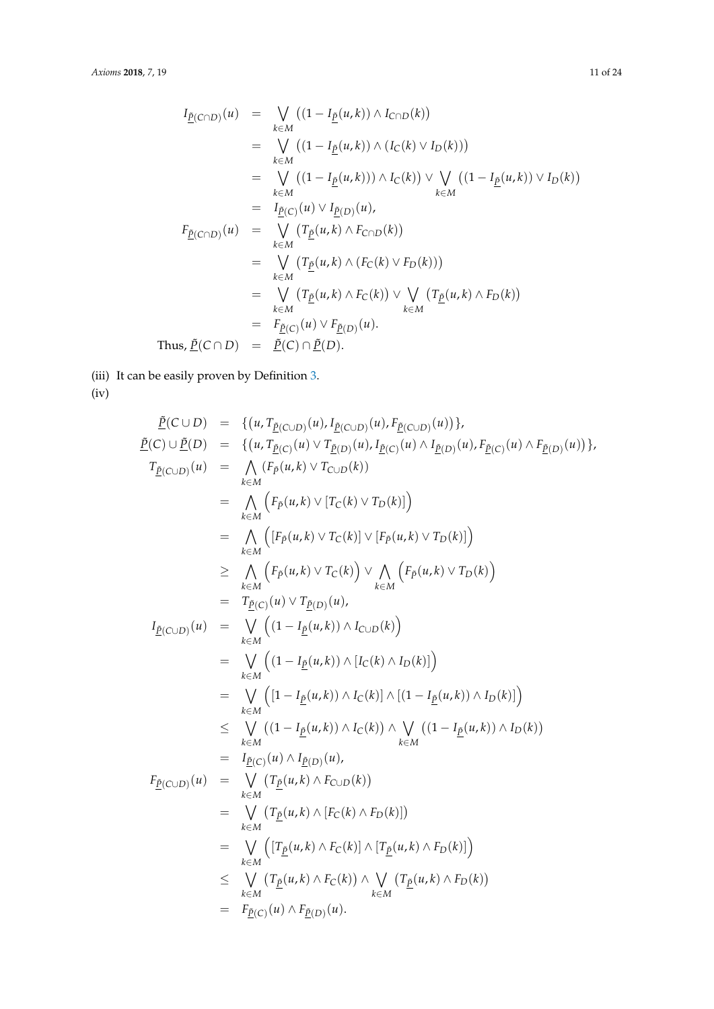$$
I_{\underline{\tilde{P}}(C\cap D)}(u) = \bigvee_{k\in M} ((1 - I_{\underline{\tilde{P}}}(u,k)) \wedge I_{C\cap D}(k))
$$
  
\n
$$
= \bigvee_{k\in M} ((1 - I_{\underline{\tilde{P}}}(u,k)) \wedge (I_{C}(k) \vee I_{D}(k)))
$$
  
\n
$$
= \bigvee_{k\in M} ((1 - I_{\underline{\tilde{P}}}(u,k)) \wedge I_{C}(k)) \vee \bigvee_{k\in M} ((1 - I_{\underline{\tilde{P}}}(u,k)) \vee I_{D}(k))
$$
  
\n
$$
= I_{\underline{\tilde{P}}(C)}(u) \vee I_{\underline{\tilde{P}}(D)}(u),
$$
  
\n
$$
F_{\underline{\tilde{P}}(C\cap D)}(u) = \bigvee_{k\in M} (T_{\underline{\tilde{P}}}(u,k) \wedge F_{C\cap D}(k))
$$
  
\n
$$
= \bigvee_{k\in M} (T_{\underline{\tilde{P}}}(u,k) \wedge (F_{C}(k) \vee F_{D}(k)))
$$
  
\n
$$
= \bigvee_{k\in M} (T_{\underline{\tilde{P}}}(u,k) \wedge F_{C}(k)) \vee \bigvee_{k\in M} (T_{\underline{\tilde{P}}}(u,k) \wedge F_{D}(k))
$$
  
\n
$$
= F_{\underline{\tilde{P}}(C)}(u) \vee F_{\underline{\tilde{P}}(D)}(u).
$$
  
\nThus,  $\underline{\tilde{P}}(C \cap D) = \underline{\tilde{P}}(C) \cap \underline{\tilde{P}}(D).$ 

(iii) It can be easily proven by Definition [3.](#page-7-1)

(iv)

$$
\begin{array}{rcl}\n\tilde{P}(C \cup D) &=& \{(u, T_{\tilde{P}(C \cup D)}(u), I_{\tilde{P}(C \cup D)}(u)\} \\
\tilde{P}(C) \cup \tilde{P}(D) &=& \{(u, T_{\tilde{P}(C)}(u) \lor T_{\tilde{P}(D)}(u), I_{\tilde{P}(C)}(u) \land I_{\tilde{P}(D)}(u), I_{\tilde{P}(C)}(u) \land F_{\tilde{P}(D)}(u)\} \\
\tilde{T}_{\tilde{P}(C \cup D)}(u) &=& \bigwedge_{k \in M} \left(F_{\tilde{P}}(u, k) \lor T_{C \cup D}(k)\right) \\
&=& \bigwedge_{k \in M} \left(F_{\tilde{P}}(u, k) \lor T_{C}(k)\right] \lor \left[F_{\tilde{P}}(u, k) \lor T_{D}(k)\right] \\
&=& \bigwedge_{k \in M} \left(F_{\tilde{P}}(u, k) \lor T_{C}(k)\right) \lor \bigwedge_{k \in M} \left(F_{\tilde{P}}(u, k) \lor T_{D}(k)\right) \\
&=& \bigwedge_{k \in M} \left(F_{\tilde{P}}(u, k) \lor T_{\tilde{C}}(k)\right) \lor \bigwedge_{k \in M} \left(F_{\tilde{P}}(u, k) \lor T_{D}(k)\right) \\
&=& \bigvee_{k \in M} \left((1 - I_{\tilde{D}}(u, k)) \land I_{C \cup D}(k)\right) \\
&=& \bigvee_{k \in M} \left((1 - I_{\tilde{P}}(u, k)) \land I_{C}(k) \land I_{D}(k)\right)\right) \\
&=& \bigvee_{k \in M} \left([1 - I_{\tilde{P}}(u, k)) \land I_{C}(k)\right) \land \bigvee_{k \in M} \left((1 - I_{\tilde{P}}(u, k)) \land I_{D}(k)\right) \\
&=& \bigvee_{k \in M} \left((1 - I_{\tilde{P}}(u, k)) \land I_{C}(k)\right) \land \bigvee_{k \in M} \left((1 - I_{\tilde{P}}(u, k) \land T_{D}(k)\right) \\
&=& \bigvee_{k \in M} \left(T_{\
$$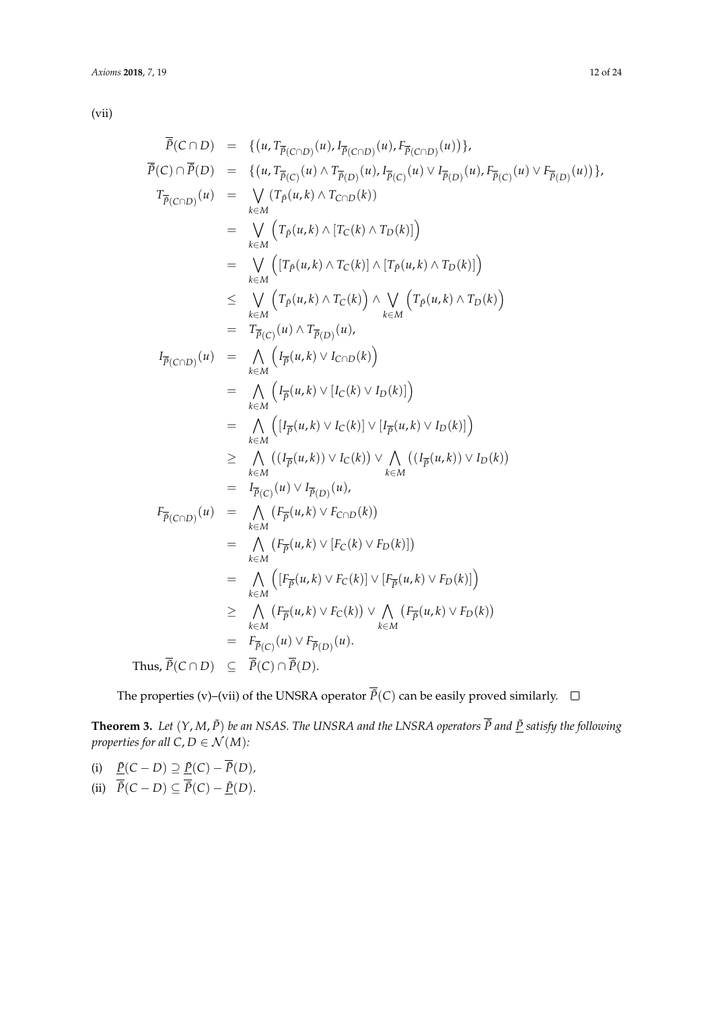(vii)

$$
\overline{P}(C \cap D) = \{ (u, T_{\overline{P}(C \cap D)}(u), T_{\overline{P}(C \cap D)}(u)) \},
$$
\n
$$
\overline{P}(C) \cap \overline{P}(D) = \{ (u, T_{\overline{P}(C)}(u) \land T_{\overline{P}(D)}(u), T_{\overline{P}(C)}(u) \lor T_{\overline{P}(D)}(u) \},
$$
\n
$$
T_{\overline{P}(C \cap D)}(u) = \bigvee_{k \in M} (T_{P}(u, k) \land T_{C \cap D}(k))
$$
\n
$$
= \bigvee_{k \in M} (T_{P}(u, k) \land T_{C}(k) \land T_{D}(k)])
$$
\n
$$
= \bigvee_{k \in M} \left( (T_{P}(u, k) \land T_{C}(k)) \land [T_{P}(u, k) \land T_{D}(k)] \right)
$$
\n
$$
\leq \bigvee_{k \in M} \left( (T_{P}(u, k) \land T_{C}(k)) \land \bigvee_{k \in M} (T_{P}(u, k) \land T_{D}(k)) \right)
$$
\n
$$
= T_{\overline{P}(C)}(u) \land T_{\overline{P}(D)}(u),
$$
\n
$$
I_{\overline{P}(C \cap D)}(u) = \bigwedge_{k \in M} \left( I_{\overline{P}}(u, k) \lor I_{C \cap D}(k) \right)
$$
\n
$$
= \bigwedge_{k \in M} \left( I_{\overline{P}}(u, k) \lor I_{C \cap D}(k) \right)
$$
\n
$$
= \bigwedge_{k \in M} \left( I_{\overline{P}}(u, k) \lor I_{C}(k) \lor I_{D}(k) \right)
$$
\n
$$
\geq \bigwedge_{k \in M} \left( (I_{\overline{P}}(u, k) \lor I_{C}(k)) \lor \bigwedge_{k \in M} \left( (I_{\overline{P}}(u, k) \lor I_{D}(k) \right) \right)
$$
\n
$$
= I_{\overline{P}(C)}(u) \lor I_{\overline{P}(D)}(u),
$$
\n
$$
F_{\overline{P}(C \cap D)}(u) = \bigwedge_{k \in M} \left( F_{
$$

The properties (v)–(vii) of the UNSRA operator  $\overline{P}(C)$  can be easily proved similarly.  $\Box$ 

**Theorem 3.** *Let*  $(Y, M, \tilde{P})$  *be an NSAS. The UNSRA and the LNSRA operators*  $\overline{\tilde{P}}$  *and*  $\underline{\tilde{P}}$  *satisfy the following properties for all*  $C, D \in \mathcal{N}(M)$ *:* 

 $\tilde{P}(C - D) \supseteq \tilde{P}(C) - \tilde{P}(D)$ , (ii)  $\tilde{P}(C - D) \subseteq \tilde{P}(C) - \underline{\tilde{P}}(D)$ .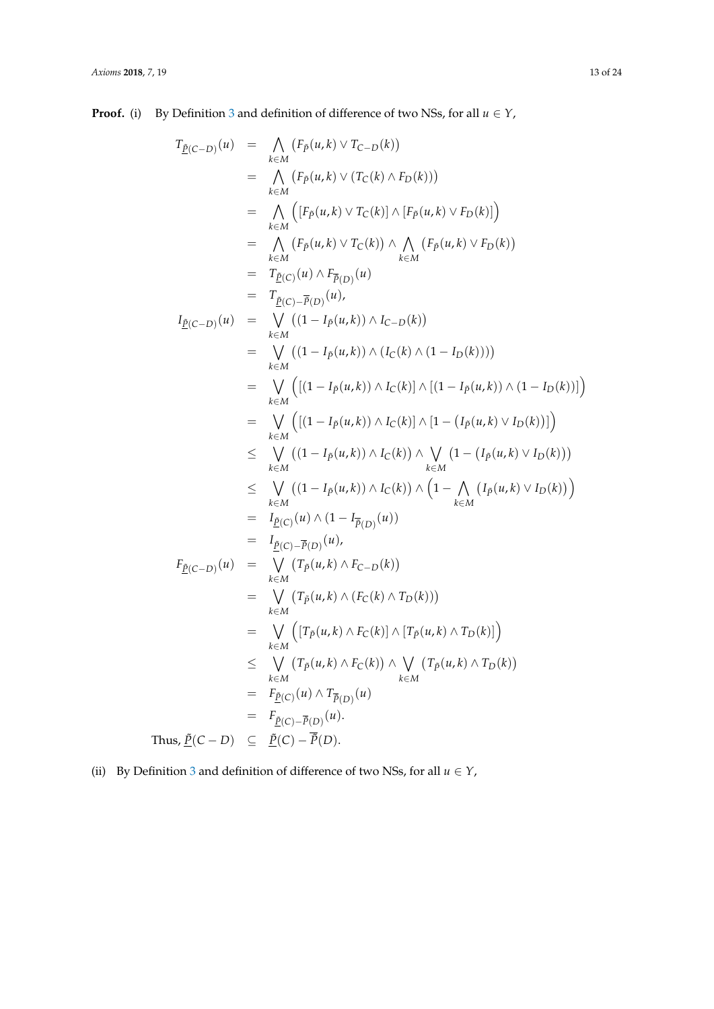**Proof.** (i) By Definition [3](#page-7-1) and definition of difference of two NSs, for all  $u \in Y$ ,

$$
T_{\underline{P}(C-D)}(u) = \bigwedge_{k \in M} (F_{\underline{P}}(u,k) \vee T_{C-D}(k))
$$
  
\n
$$
= \bigwedge_{k \in M} (F_{\underline{P}}(u,k) \vee (T_{C}(k) \wedge F_{D}(k)))
$$
  
\n
$$
= \bigwedge_{k \in M} (F_{\underline{P}}(u,k) \vee T_{C}(k)) \wedge [F_{\underline{P}}(u,k) \vee F_{D}(k)]
$$
  
\n
$$
= \bigwedge_{k \in M} (F_{\underline{P}}(u,k) \vee T_{C}(k)) \wedge \bigwedge_{k \in M} (F_{\underline{P}}(u,k) \vee F_{D}(k))
$$
  
\n
$$
= T_{\underline{P}(C)-\overline{P}(D)}(u)
$$
  
\n
$$
= T_{\underline{P}(C)-\overline{P}(D)}(u)
$$
  
\n
$$
= T_{\underline{P}(C)-\overline{P}(D)}(u)
$$
  
\n
$$
= \bigvee_{k \in M} ((1 - I_{\underline{P}}(u,k)) \wedge I_{C-D}(k))
$$
  
\n
$$
= \bigvee_{k \in M} ((1 - I_{\underline{P}}(u,k)) \wedge (I_{C}(k) \wedge (1 - I_{D}(k))))
$$
  
\n
$$
= \bigvee_{k \in M} ([(1 - I_{\underline{P}}(u,k)) \wedge I_{C}(k)] \wedge [(1 - I_{\underline{P}}(u,k) \vee I_{D}(k))])]
$$
  
\n
$$
= \bigvee_{k \in M} ((1 - I_{\underline{P}}(u,k)) \wedge I_{C}(k)) \wedge [1 - (I_{\underline{P}}(u,k) \vee I_{D}(k))])
$$
  
\n
$$
\leq \bigvee_{k \in M} ((1 - I_{\underline{P}}(u,k)) \wedge I_{C}(k)) \wedge (1 - (I_{\underline{P}}(u,k) \vee I_{D}(k)))
$$
  
\n
$$
= I_{\underline{P}(C)}(u) \wedge (1 - I_{\overline{P}(D)}(u))
$$
  
\n
$$
= I_{\underline{P}(C)-\overline{P}(D)}(u)
$$
  
\n
$$
=
$$

(ii) By Definition [3](#page-7-1) and definition of difference of two NSs, for all  $u \in Y$ ,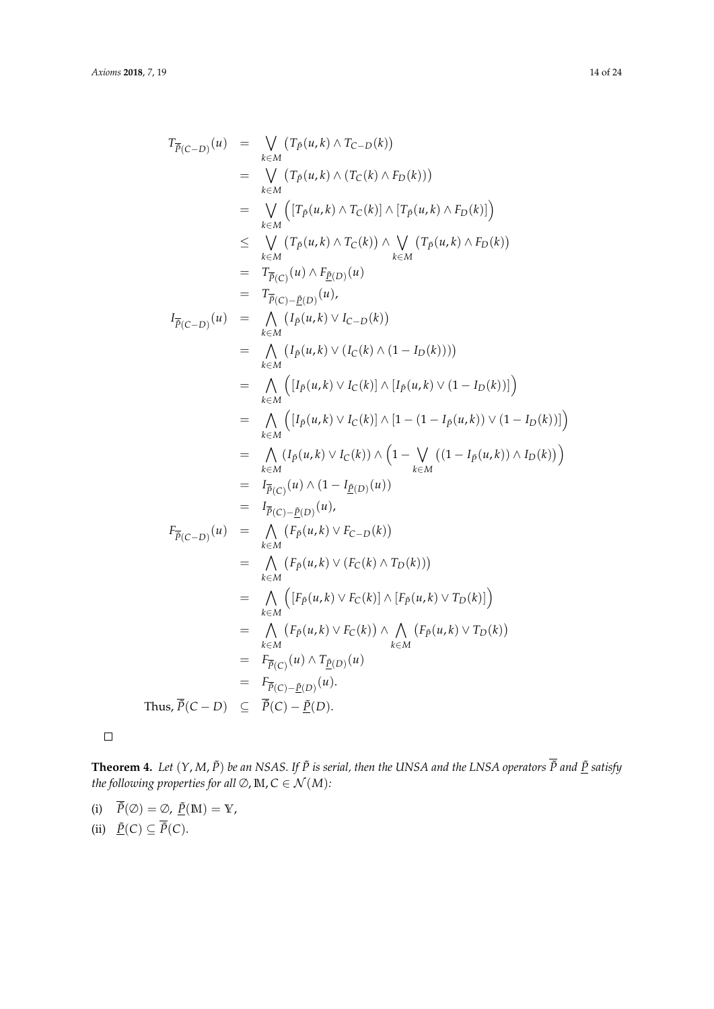$$
T_{\overline{P}(C-D)}(u) = \bigvee_{k \in M} (T_P(u,k) \wedge T_{C-D}(k))
$$
  
\n
$$
= \bigvee_{k \in M} (T_P(u,k) \wedge (T_C(k) \wedge F_D(k)))
$$
  
\n
$$
= \bigvee_{k \in M} (T_P(u,k) \wedge T_C(k)) \wedge [T_P(u,k) \wedge F_D(k)])
$$
  
\n
$$
\leq \bigvee_{k \in M} (T_P(u,k) \wedge T_C(k)) \wedge \bigvee_{k \in M} (T_P(u,k) \wedge F_D(k))
$$
  
\n
$$
= T_{\overline{P}(C)}(u) \wedge F_{\underline{P}(D)}(u)
$$
  
\n
$$
= T_{\overline{P}(C)-\underline{P}(D)}(u),
$$
  
\n
$$
I_{\overline{P}(C-D)}(u) = \bigwedge_{k \in M} (I_P(u,k) \vee I_{C-D}(k))
$$
  
\n
$$
= \bigwedge_{k \in M} (I_P(u,k) \vee I_C(k)) \wedge [I_P(u,k) \vee (1 - I_D(k))])
$$
  
\n
$$
= \bigwedge_{k \in M} (I_P(u,k) \vee I_C(k)) \wedge [1 - (1 - I_P(u,k)) \vee (1 - I_D(k))])
$$
  
\n
$$
= \bigwedge_{k \in M} (I_P(u,k) \vee I_C(k)) \wedge (1 - \bigvee_{k \in M} ((1 - I_P(u,k)) \wedge I_D(k)) )
$$
  
\n
$$
= I_{\overline{P}(C)}(u) \wedge (1 - I_{\underline{P}(D)}(u))
$$
  
\n
$$
= I_{\overline{P}(C)-\underline{P}(D)}(u),
$$
  
\n
$$
= \bigwedge_{k \in M} (F_P(u,k) \vee F_{C-D}(k))
$$
  
\n
$$
= \bigwedge_{k \in M} (F_P(u,k) \vee F_C(k) \wedge T_D(k)) )
$$
  
\n
$$
= \bigwedge_{k \in M} (F_P(u,k) \vee F_C(k)) \wedge [F_P(u,k) \vee T_D(k)]
$$
  
\n
$$
= \bigwedge_{k \in M} (F_P(u,k) \vee F_C(k))
$$

 $\Box$ 

**Theorem 4.** Let  $(Y, M, \tilde{P})$  be an NSAS. If  $\tilde{P}$  is serial, then the UNSA and the LNSA operators  $\overline{\tilde{P}}$  and  $\underline{\tilde{P}}$  satisfy *the following properties for all*  $\emptyset$ , **M**,  $C \in \mathcal{N}(M)$ *:* 

(i)  $\overline{\tilde{P}}(\emptyset) = \emptyset$ ,  $\underline{\tilde{P}}(\mathbb{M}) = \mathbb{Y}$ , (ii)  $\underline{\tilde{P}}(C) \subseteq \tilde{P}(C)$ .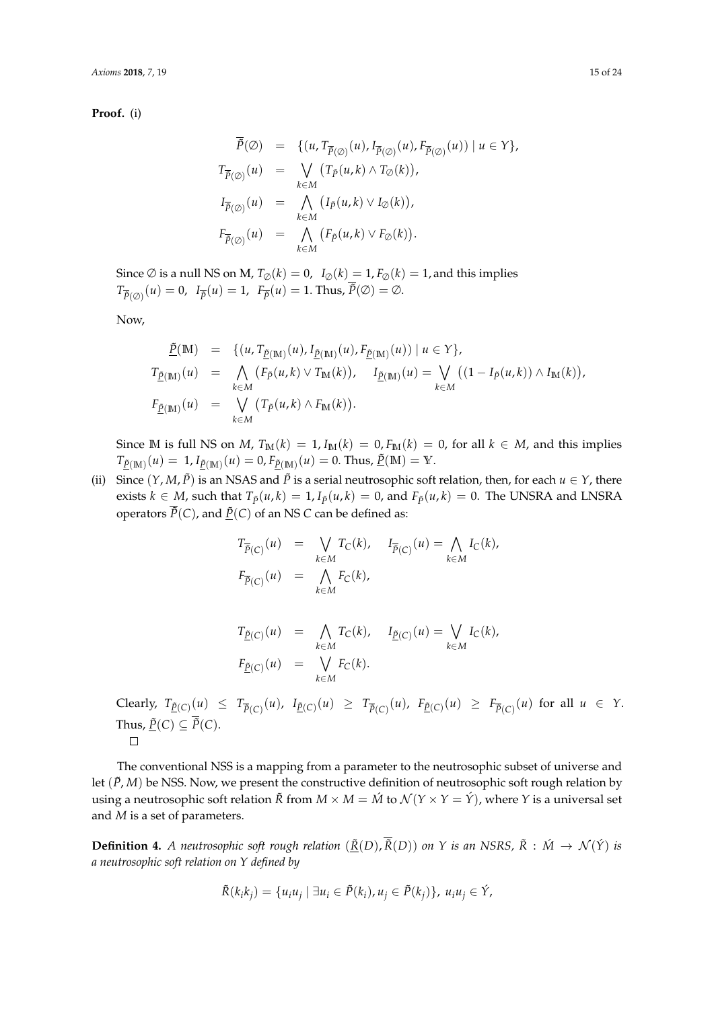**Proof.** (i)

$$
\overline{\tilde{P}}(\emptyset) = \{ (u, T_{\overline{P}(\emptyset)}(u), I_{\overline{P}(\emptyset)}(u), F_{\overline{P}(\emptyset)}(u)) \mid u \in Y \},
$$
\n
$$
T_{\overline{P}(\emptyset)}(u) = \bigvee_{k \in M} (T_{\tilde{P}}(u,k) \wedge T_{\emptyset}(k)),
$$
\n
$$
I_{\overline{P}(\emptyset)}(u) = \bigwedge_{k \in M} (I_{\tilde{P}}(u,k) \vee I_{\emptyset}(k)),
$$
\n
$$
F_{\overline{P}(\emptyset)}(u) = \bigwedge_{k \in M} (F_{\tilde{P}}(u,k) \vee F_{\emptyset}(k)).
$$

Since  $\emptyset$  is a null NS on M,  $T_{\emptyset}(k) = 0$ ,  $I_{\emptyset}(k) = 1$ ,  $F_{\emptyset}(k) = 1$ , and this implies  $T_{\overline{\tilde{P}}(\emptyset)}(u) = 0$ ,  $I_{\overline{\tilde{P}}}(u) = 1$ ,  $F_{\overline{\tilde{P}}}(u) = 1$ . Thus,  $\tilde{P}(\emptyset) = \emptyset$ .

Now,

$$
\begin{array}{rcl}\n\tilde{\underline{P}}(\mathbb{M}) & = & \{ (u, T_{\tilde{\underline{P}}(\mathbb{M})}(u), I_{\tilde{\underline{P}}(\mathbb{M})}(u), F_{\tilde{\underline{P}}(\mathbb{M})}(u)) \mid u \in Y \}, \\
T_{\tilde{\underline{P}}(\mathbb{M})}(u) & = & \bigwedge_{k \in M} \left( F_{\tilde{P}}(u,k) \vee T_{\mathbb{M}}(k) \right), \quad I_{\tilde{\underline{P}}(\mathbb{M})}(u) = & \bigvee_{k \in M} \left( (1 - I_{\tilde{P}}(u,k)) \wedge I_{\mathbb{M}}(k) \right), \\
F_{\tilde{\underline{P}}(\mathbb{M})}(u) & = & \bigvee_{k \in M} \left( T_{\tilde{P}}(u,k) \wedge F_{\mathbb{M}}(k) \right).\n\end{array}
$$

Since M is full NS on *M*,  $T_M(k) = 1$ ,  $I_M(k) = 0$ ,  $F_M(k) = 0$ , for all  $k \in M$ , and this implies  $T_{\underline{\tilde{P}}(M)}(u) = 1$ ,  $I_{\underline{\tilde{P}}(M)}(u) = 0$ ,  $F_{\underline{\tilde{P}}(M)}(u) = 0$ . Thus,  $\underline{\tilde{P}}(M) = Y$ .

(ii) Since  $(Y, M, \tilde{P})$  is an NSAS and  $\tilde{P}$  is a serial neutrosophic soft relation, then, for each  $u \in Y$ , there exists  $k \in M$ , such that  $T_{\tilde{p}}(u,k) = 1$ ,  $I_{\tilde{p}}(u,k) = 0$ , and  $F_{\tilde{p}}(u,k) = 0$ . The UNSRA and LNSRA operators  $\overline{P}(C)$ , and  $\underline{P}(C)$  of an NS *C* can be defined as:

$$
T_{\overline{P}(C)}(u) = \bigvee_{k \in M} T_C(k), \quad I_{\overline{P}(C)}(u) = \bigwedge_{k \in M} I_C(k),
$$
  

$$
F_{\overline{P}(C)}(u) = \bigwedge_{k \in M} F_C(k),
$$

$$
T_{\underline{\tilde{P}}(C)}(u) = \bigwedge_{k \in M} T_C(k), \quad I_{\underline{\tilde{P}}(C)}(u) = \bigvee_{k \in M} I_C(k),
$$
  

$$
F_{\underline{\tilde{P}}(C)}(u) = \bigvee_{k \in M} F_C(k).
$$

Clearly,  $T_{\underline{\tilde{P}}(C)}(u) \leq T_{\overline{\tilde{P}}(C)}(u)$ ,  $I_{\underline{\tilde{P}}(C)}(u) \geq T_{\overline{\tilde{P}}(C)}(u)$ ,  $F_{\underline{\tilde{P}}(C)}(u) \geq F_{\overline{\tilde{P}}(C)}(u)$  for all  $u \in Y$ . Thus,  $\underline{\tilde{P}}(C) \subseteq \overline{\tilde{P}}(C)$ .  $\Box$ 

The conventional NSS is a mapping from a parameter to the neutrosophic subset of universe and let  $(\tilde{P}, M)$  be NSS. Now, we present the constructive definition of neutrosophic soft rough relation by using a neutrosophic soft relation  $\tilde{R}$  from  $M \times M = \tilde{M}$  to  $\mathcal{N}(Y \times Y = \tilde{Y})$ , where  $Y$  is a universal set and *M* is a set of parameters.

**Definition 4.** *A neutrosophic soft rough relation*  $(\underline{\tilde{R}}(D), \overline{\tilde{R}}(D))$  *on Y is an NSRS,*  $\tilde{R}$  :  $\acute{M} \rightarrow \mathcal{N}(\acute{Y})$  *is a neutrosophic soft relation on Y defined by*

$$
\tilde{R}(k_i k_j) = \{u_i u_j \mid \exists u_i \in \tilde{P}(k_i), u_j \in \tilde{P}(k_j)\}, u_i u_j \in \hat{Y},
$$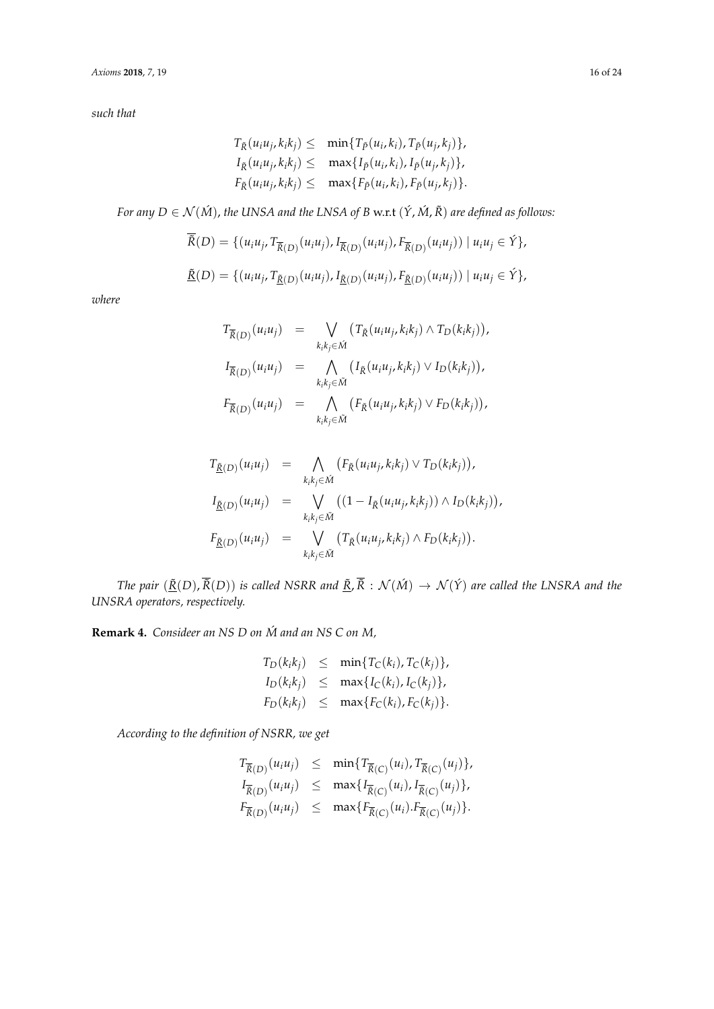*such that*

$$
T_{\tilde{R}}(u_iu_j,k_ik_j) \leq \min\{T_{\tilde{P}}(u_i,k_i),T_{\tilde{P}}(u_j,k_j)\},
$$
  
\n
$$
I_{\tilde{R}}(u_iu_j,k_ik_j) \leq \max\{I_{\tilde{P}}(u_i,k_i),I_{\tilde{P}}(u_j,k_j)\},
$$
  
\n
$$
F_{\tilde{R}}(u_iu_j,k_ik_j) \leq \max\{F_{\tilde{P}}(u_i,k_i),F_{\tilde{P}}(u_j,k_j)\}.
$$

*For any D*  $\in$   $\mathcal{N}(\hat{M})$ , *the UNSA and the LNSA of B w.r.t*  $(\hat{Y}, \hat{M}, \tilde{R})$  *are defined as follows:* 

$$
\tilde{R}(D) = \{ (u_i u_j, T_{\overline{R}(D)}(u_i u_j), I_{\overline{R}(D)}(u_i u_j), F_{\overline{R}(D)}(u_i u_j)) | u_i u_j \in \hat{Y} \},\
$$
  

$$
\underline{\tilde{R}}(D) = \{ (u_i u_j, T_{\underline{\tilde{R}}(D)}(u_i u_j), I_{\underline{\tilde{R}}(D)}(u_i u_j), F_{\underline{\tilde{R}}(D)}(u_i u_j)) | u_i u_j \in \hat{Y} \},
$$

*where*

$$
T_{\overline{\tilde{R}}(D)}(u_iu_j) = \bigvee_{k_ik_j \in \tilde{M}} (T_{\tilde{R}}(u_iu_j, k_ik_j) \wedge T_D(k_ik_j)),
$$
  
\n
$$
I_{\overline{\tilde{R}}(D)}(u_iu_j) = \bigwedge_{k_ik_j \in \tilde{M}} (I_{\tilde{R}}(u_iu_j, k_ik_j) \vee I_D(k_ik_j)),
$$
  
\n
$$
F_{\overline{\tilde{R}}(D)}(u_iu_j) = \bigwedge_{k_ik_j \in \tilde{M}} (F_{\tilde{R}}(u_iu_j, k_ik_j) \vee F_D(k_ik_j)),
$$

$$
T_{\underline{\tilde{R}}(D)}(u_i u_j) = \bigwedge_{k_i k_j \in \tilde{M}} (F_{\tilde{R}}(u_i u_j, k_i k_j) \vee T_D(k_i k_j)),
$$
  
\n
$$
I_{\underline{\tilde{R}}(D)}(u_i u_j) = \bigvee_{k_i k_j \in \tilde{M}} ((1 - I_{\tilde{R}}(u_i u_j, k_i k_j)) \wedge I_D(k_i k_j)),
$$
  
\n
$$
F_{\underline{\tilde{R}}(D)}(u_i u_j) = \bigvee_{k_i k_j \in \tilde{M}} (T_{\tilde{R}}(u_i u_j, k_i k_j) \wedge F_D(k_i k_j)).
$$

*The pair*  $(\underline{\tilde{R}}(D), \overline{\tilde{R}}(D))$  *is called NSRR and*  $\underline{\tilde{R}}$ ,  $\overline{\tilde{R}}$  :  $\mathcal{N}(\tilde{M}) \to \mathcal{N}(\tilde{Y})$  *are called the LNSRA and the UNSRA operators, respectively.*

**Remark 4.** *Consideer an NS D on M and an NS C on M,* ´

$$
T_D(k_ik_j) \leq \min\{T_C(k_i), T_C(k_j)\},
$$
  
\n
$$
I_D(k_ik_j) \leq \max\{I_C(k_i), I_C(k_j)\},
$$
  
\n
$$
F_D(k_ik_j) \leq \max\{F_C(k_i), F_C(k_j)\}.
$$

*According to the definition of NSRR, we get*

$$
T_{\overline{\tilde{R}}(D)}(u_iu_j) \leq \min\{T_{\overline{\tilde{R}}(C)}(u_i), T_{\overline{\tilde{R}}(C)}(u_j)\},
$$
  
\n
$$
I_{\overline{\tilde{R}}(D)}(u_iu_j) \leq \max\{I_{\overline{\tilde{R}}(C)}(u_i), I_{\overline{\tilde{R}}(C)}(u_j)\},
$$
  
\n
$$
F_{\overline{\tilde{R}}(D)}(u_iu_j) \leq \max\{F_{\overline{\tilde{R}}(C)}(u_i), F_{\overline{\tilde{R}}(C)}(u_j)\}.
$$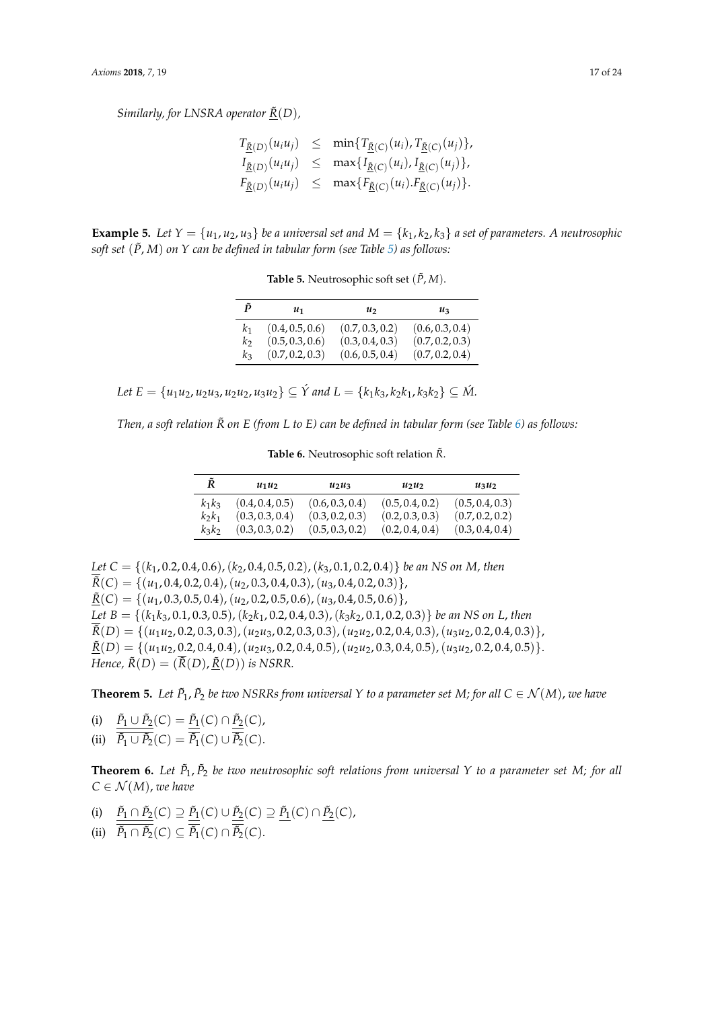*Similarly, for LNSRA operator*  $\tilde{R}(D)$ *,* 

|  | $T_{\tilde{R}(D)}(u_iu_j) \leq \min\{T_{\tilde{R}(C)}(u_i), T_{\tilde{R}(C)}(u_j)\},$                                     |
|--|---------------------------------------------------------------------------------------------------------------------------|
|  | $I_{\underline{\tilde{R}}(D)}(u_iu_j) \leq \max\{I_{\underline{\tilde{R}}(C)}(u_i), I_{\underline{\tilde{R}}(C)}(u_j)\},$ |
|  | $F_{\tilde{\underline{R}}(D)}(u_iu_j) \leq \max\{F_{\tilde{\underline{R}}(C)}(u_i).F_{\tilde{\underline{R}}(C)}(u_j)\}.$  |

<span id="page-16-0"></span>**Example 5.** Let  $Y = \{u_1, u_2, u_3\}$  be a universal set and  $M = \{k_1, k_2, k_3\}$  a set of parameters. A neutrosophic *soft set* (*P*˜, *M*) *on Y can be defined in tabular form (see Table [5\)](#page-16-0) as follows:*

| ñ              | u1              | $\mathfrak{u}_2$ | $u_3$           |
|----------------|-----------------|------------------|-----------------|
| $k_{1}$        | (0.4, 0.5, 0.6) | (0.7, 0.3, 0.2)  | (0.6, 0.3, 0.4) |
| k <sub>2</sub> | (0.5, 0.3, 0.6) | (0.3, 0.4, 0.3)  | (0.7, 0.2, 0.3) |
| $k_3$          | (0.7, 0.2, 0.3) | (0.6, 0.5, 0.4)  | (0.7, 0.2, 0.4) |

**Table 5.** Neutrosophic soft set  $(\tilde{P}, M)$ .

 $Let E = \{u_1u_2, u_2u_3, u_2u_2, u_3u_2\} \subseteq \hat{Y}$  and  $L = \{k_1k_3, k_2k_1, k_3k_2\} \subseteq \hat{M}$ .

<span id="page-16-1"></span>*Then, a soft relation*  $\tilde{R}$  *on E (from L to E) can be defined in tabular form (see Table [6\)](#page-16-1) as follows:* 

Table 6. Neutrosophic soft relation  $\tilde{R}$ .

| Ř        | $u_1u_2$        | $u_2u_3$        | $u_2u_2$        | $u_3u_2$        |
|----------|-----------------|-----------------|-----------------|-----------------|
| $k_1k_3$ | (0.4, 0.4, 0.5) | (0.6, 0.3, 0.4) | (0.5, 0.4, 0.2) | (0.5, 0.4, 0.3) |
| $k_2k_1$ | (0.3, 0.3, 0.4) | (0.3, 0.2, 0.3) | (0.2, 0.3, 0.3) | (0.7, 0.2, 0.2) |
| $k_3k_2$ | (0.3, 0.3, 0.2) | (0.5, 0.3, 0.2) | (0.2, 0.4, 0.4) | (0.3, 0.4, 0.4) |

*Let C* = {(*k*1, 0.2, 0.4, 0.6),(*k*2, 0.4, 0.5, 0.2),(*k*3, 0.1, 0.2, 0.4)} *be an NS on M, then*  $\overline{\tilde{R}}(C) = \{(u_1, 0.4, 0.2, 0.4), (u_2, 0.3, 0.4, 0.3), (u_3, 0.4, 0.2, 0.3)\},\$  $\underline{\tilde{R}}(C) = \{(u_1, 0.3, 0.5, 0.4), (u_2, 0.2, 0.5, 0.6), (u_3, 0.4, 0.5, 0.6)\},\$ *Let B* = {(*k*1*k*3, 0.1, 0.3, 0.5),(*k*2*k*1, 0.2, 0.4, 0.3),(*k*3*k*2, 0.1, 0.2, 0.3)} *be an NS on L*, *then*  $\overline{\tilde{R}}(D) = \{(u_1u_2, 0.2, 0.3, 0.3), (u_2u_3, 0.2, 0.3, 0.3), (u_2u_2, 0.2, 0.4, 0.3), (u_3u_2, 0.2, 0.4, 0.3)\},\$  $\underline{\tilde{R}}(D) = \{(u_1u_2, 0.2, 0.4, 0.4), (u_2u_3, 0.2, 0.4, 0.5), (u_2u_2, 0.3, 0.4, 0.5), (u_3u_2, 0.2, 0.4, 0.5)\}.$ *Hence,*  $\tilde{R}(D) = (\overline{\tilde{R}}(D), \tilde{R}(D))$  *is NSRR.* 

**Theorem 5.** Let  $\tilde{P}_1$ ,  $\tilde{P}_2$  be two NSRRs from universal Y to a parameter set M; for all  $C \in \mathcal{N}(M)$ , we have

(i)  $\tilde{P}_1 \cup \tilde{P}_2(C) = \tilde{P}_1(C) \cap \tilde{P}_2(C)$ , (ii)  $\tilde{P}_1 \cup \tilde{P}_2(C) = \tilde{P}_1(C) \cup \tilde{P}_2(C).$ 

**Theorem 6.** *Let P*˜ <sup>1</sup>, *P*˜ <sup>2</sup> *be two neutrosophic soft relations from universal Y to a parameter set M; for all*  $C \in \mathcal{N}(M)$ , *we have* 

- $\tilde{P}_1 \cap \tilde{P}_2(C) \supseteq \tilde{P}_1(C) \cup \tilde{P}_2(C) \supseteq \tilde{P}_1(C) \cap \tilde{P}_2(C)$
- (ii)  $\tilde{P}_1 \cap \tilde{P}_2(C) \subseteq \tilde{P}_1(C) \cap \tilde{P}_2(C)$ .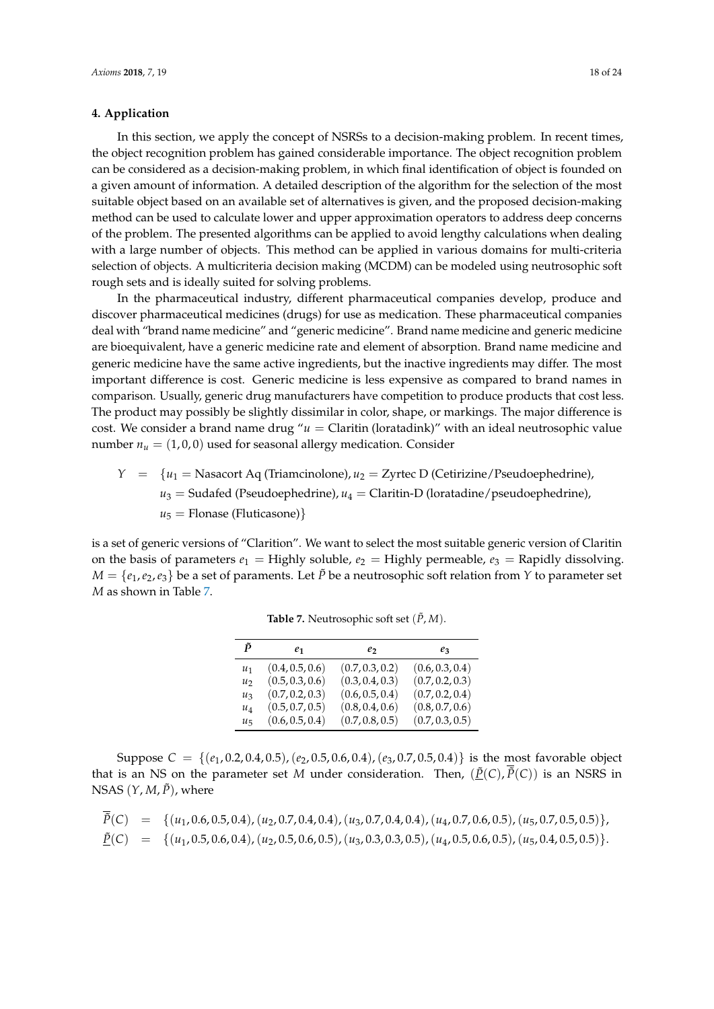#### **4. Application**

In this section, we apply the concept of NSRSs to a decision-making problem. In recent times, the object recognition problem has gained considerable importance. The object recognition problem can be considered as a decision-making problem, in which final identification of object is founded on a given amount of information. A detailed description of the algorithm for the selection of the most suitable object based on an available set of alternatives is given, and the proposed decision-making method can be used to calculate lower and upper approximation operators to address deep concerns of the problem. The presented algorithms can be applied to avoid lengthy calculations when dealing with a large number of objects. This method can be applied in various domains for multi-criteria selection of objects. A multicriteria decision making (MCDM) can be modeled using neutrosophic soft rough sets and is ideally suited for solving problems.

In the pharmaceutical industry, different pharmaceutical companies develop, produce and discover pharmaceutical medicines (drugs) for use as medication. These pharmaceutical companies deal with "brand name medicine" and "generic medicine". Brand name medicine and generic medicine are bioequivalent, have a generic medicine rate and element of absorption. Brand name medicine and generic medicine have the same active ingredients, but the inactive ingredients may differ. The most important difference is cost. Generic medicine is less expensive as compared to brand names in comparison. Usually, generic drug manufacturers have competition to produce products that cost less. The product may possibly be slightly dissimilar in color, shape, or markings. The major difference is cost. We consider a brand name drug " $u =$  Claritin (loratadink)" with an ideal neutrosophic value number  $n_u = (1, 0, 0)$  used for seasonal allergy medication. Consider

$$
Y = \{u_1 = \text{Nasacort Aq (Triamcinolone)}, u_2 = \text{Zyrtec D (Cetirizine/Pseudoephedrine)}, u_3 = \text{Sudafed (Pseudoephedrine)}, u_4 = \text{Claritin-D (loratadine/pseudoephedrine)}, u_5 = \text{Flonase (Fluticasone)}\}
$$

<span id="page-17-0"></span>is a set of generic versions of "Clarition". We want to select the most suitable generic version of Claritin on the basis of parameters  $e_1 =$  Highly soluble,  $e_2 =$  Highly permeable,  $e_3 =$  Rapidly dissolving.  $M = \{e_1, e_2, e_3\}$  be a set of paraments. Let  $\tilde{P}$  be a neutrosophic soft relation from *Y* to parameter set *M* as shown in Table [7.](#page-17-0)

| P              | e1              | eэ              | eз              |
|----------------|-----------------|-----------------|-----------------|
| $u_1$          | (0.4, 0.5, 0.6) | (0.7, 0.3, 0.2) | (0.6, 0.3, 0.4) |
| u <sub>2</sub> | (0.5, 0.3, 0.6) | (0.3, 0.4, 0.3) | (0.7, 0.2, 0.3) |
| $u_3$          | (0.7, 0.2, 0.3) | (0.6, 0.5, 0.4) | (0.7, 0.2, 0.4) |
| $u_4$          | (0.5, 0.7, 0.5) | (0.8, 0.4, 0.6) | (0.8, 0.7, 0.6) |
| $u_{5}$        | (0.6, 0.5, 0.4) | (0.7, 0.8, 0.5) | (0.7, 0.3, 0.5) |

**Table 7.** Neutrosophic soft set  $(\tilde{P}, M)$ .

Suppose  $C = \{(e_1, 0.2, 0.4, 0.5), (e_2, 0.5, 0.6, 0.4), (e_3, 0.7, 0.5, 0.4)\}\$ is the most favorable object that is an NS on the parameter set *M* under consideration. Then,  $(\underline{\tilde{P}}(C), \tilde{P}(C))$  is an NSRS in NSAS  $(Y, M, \tilde{P})$ , where

$$
\tilde{P}(C) = \{(u_1, 0.6, 0.5, 0.4), (u_2, 0.7, 0.4, 0.4), (u_3, 0.7, 0.4, 0.4), (u_4, 0.7, 0.6, 0.5), (u_5, 0.7, 0.5, 0.5)\},
$$
  
\n
$$
\underline{\tilde{P}}(C) = \{(u_1, 0.5, 0.6, 0.4), (u_2, 0.5, 0.6, 0.5), (u_3, 0.3, 0.3, 0.5), (u_4, 0.5, 0.6, 0.5), (u_5, 0.4, 0.5, 0.5)\}.
$$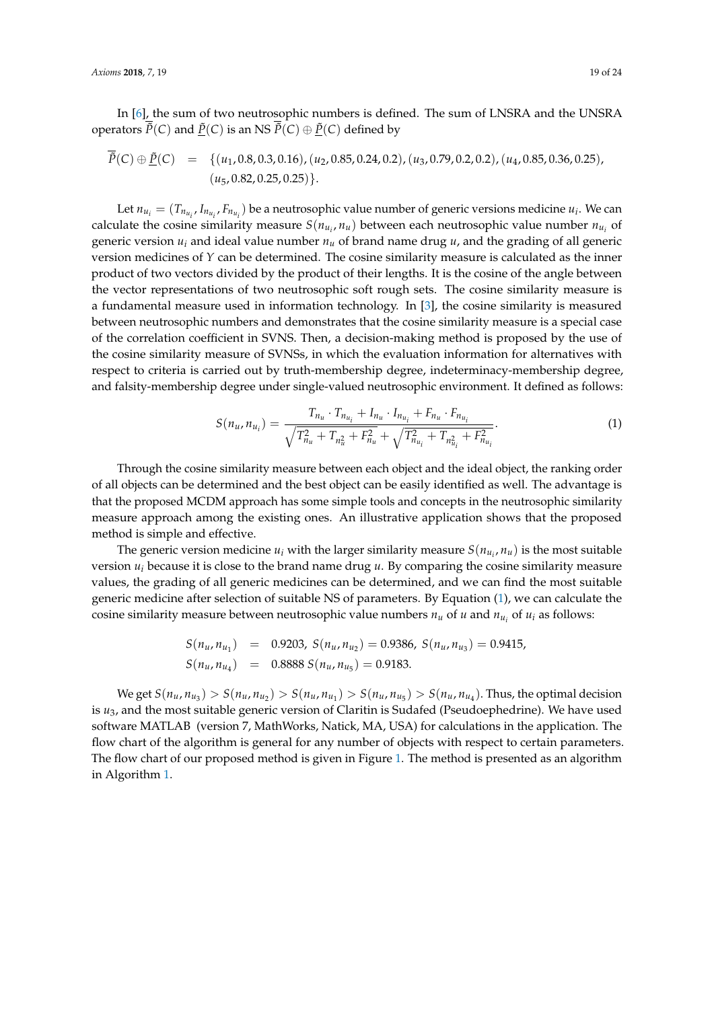In [\[6\]](#page-22-4), the sum of two neutrosophic numbers is defined. The sum of LNSRA and the UNSRA operators  $\tilde{P}(C)$  and  $\underline{\tilde{P}}(C)$  is an NS  $\tilde{P}(C) \oplus \underline{\tilde{P}}(C)$  defined by

$$
\tilde{P}(C) \oplus \underline{\tilde{P}}(C) = \{(u_1, 0.8, 0.3, 0.16), (u_2, 0.85, 0.24, 0.2), (u_3, 0.79, 0.2, 0.2), (u_4, 0.85, 0.36, 0.25), (u_5, 0.82, 0.25, 0.25)\}.
$$

Let  $n_{u_i} = (T_{n_{u_i}}, I_{n_{u_i}}, F_{n_{u_i}})$  be a neutrosophic value number of generic versions medicine  $u_i$ . We can calculate the cosine similarity measure  $S(n_{u_i}, n_u)$  between each neutrosophic value number  $n_{u_i}$  of generic version  $u_i$  and ideal value number  $n_u$  of brand name drug  $u$ , and the grading of all generic version medicines of *Y* can be determined. The cosine similarity measure is calculated as the inner product of two vectors divided by the product of their lengths. It is the cosine of the angle between the vector representations of two neutrosophic soft rough sets. The cosine similarity measure is a fundamental measure used in information technology. In [\[3\]](#page-22-2), the cosine similarity is measured between neutrosophic numbers and demonstrates that the cosine similarity measure is a special case of the correlation coefficient in SVNS. Then, a decision-making method is proposed by the use of the cosine similarity measure of SVNSs, in which the evaluation information for alternatives with respect to criteria is carried out by truth-membership degree, indeterminacy-membership degree, and falsity-membership degree under single-valued neutrosophic environment. It defined as follows:

<span id="page-18-0"></span>
$$
S(n_{u}, n_{u_{i}}) = \frac{T_{n_{u}} \cdot T_{n_{u_{i}}} + I_{n_{u}} \cdot I_{n_{u_{i}}} + F_{n_{u}} \cdot F_{n_{u_{i}}}}{\sqrt{T_{n_{u}}^{2} + T_{n_{u}}^{2} + F_{n_{u}}^{2}} + \sqrt{T_{n_{u_{i}}}}^{2} + T_{n_{u_{i}}^{2}} + F_{n_{u_{i}}}^{2}}.
$$
\n(1)

Through the cosine similarity measure between each object and the ideal object, the ranking order of all objects can be determined and the best object can be easily identified as well. The advantage is that the proposed MCDM approach has some simple tools and concepts in the neutrosophic similarity measure approach among the existing ones. An illustrative application shows that the proposed method is simple and effective.

The generic version medicine  $u_i$  with the larger similarity measure  $S(n_{u_i}, n_u)$  is the most suitable version *u<sup>i</sup>* because it is close to the brand name drug *u*. By comparing the cosine similarity measure values, the grading of all generic medicines can be determined, and we can find the most suitable generic medicine after selection of suitable NS of parameters. By Equation [\(1\)](#page-18-0), we can calculate the cosine similarity measure between neutrosophic value numbers  $n_u$  of  $u$  and  $n_{u_i}$  of  $u_i$  as follows:

$$
S(n_u, n_{u_1}) = 0.9203, S(n_u, n_{u_2}) = 0.9386, S(n_u, n_{u_3}) = 0.9415,
$$
  

$$
S(n_u, n_{u_4}) = 0.8888 S(n_u, n_{u_5}) = 0.9183.
$$

We get  $S(n_u, n_{u_3}) > S(n_u, n_{u_2}) > S(n_u, n_{u_1}) > S(n_u, n_{u_5}) > S(n_u, n_{u_4})$ . Thus, the optimal decision is *u*3, and the most suitable generic version of Claritin is Sudafed (Pseudoephedrine). We have used software MATLAB (version 7, MathWorks, Natick, MA, USA) for calculations in the application. The flow chart of the algorithm is general for any number of objects with respect to certain parameters. The flow chart of our proposed method is given in Figure [1.](#page-19-0) The method is presented as an algorithm in Algorithm [1.](#page-20-0)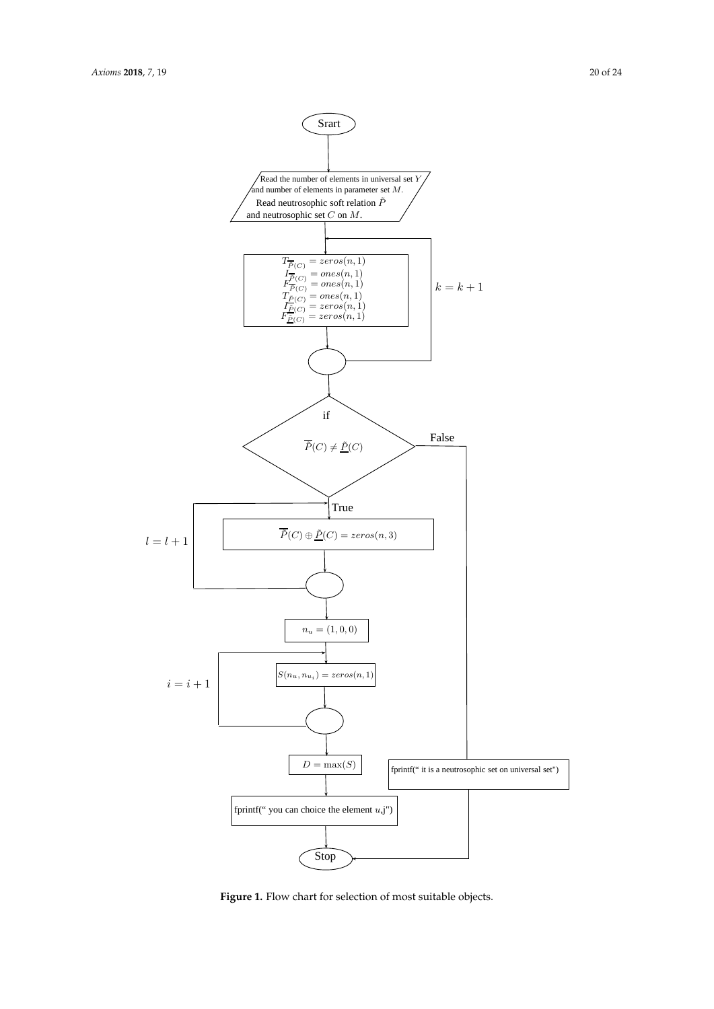<span id="page-19-0"></span>

Figure 1. Flow chart for selection of most suitable objects.<br> **Figure 1.** Flow chart for selection of most suitable objects.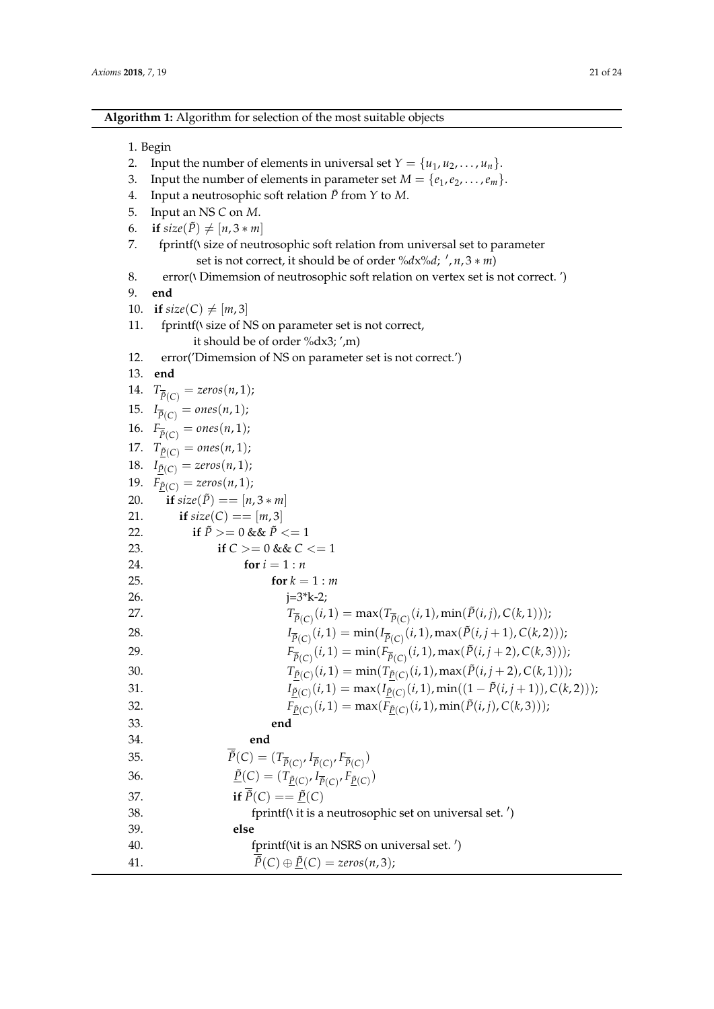**Algorithm 1:** Algorithm for selection of the most suitable objects

<span id="page-20-0"></span>

|     | 1. Begin                                                                                                                                                  |
|-----|-----------------------------------------------------------------------------------------------------------------------------------------------------------|
| 2.  | Input the number of elements in universal set $Y = \{u_1, u_2, \ldots, u_n\}.$                                                                            |
| 3.  | Input the number of elements in parameter set $M = \{e_1, e_2, \dots, e_m\}.$                                                                             |
| 4.  | Input a neutrosophic soft relation $\tilde{P}$ from $Y$ to $M$ .                                                                                          |
| 5.  | Input an NS C on M.                                                                                                                                       |
| 6.  | if $size(\tilde{P}) \neq [n, 3 * m]$                                                                                                                      |
| 7.  | fprintf(\ size of neutrosophic soft relation from universal set to parameter                                                                              |
|     | set is not correct, it should be of order $\frac{\partial}{\partial x} \cdot d$ ; $\frac{\partial}{\partial y}$ , $\frac{\partial}{\partial z} \cdot m$ ) |
| 8.  | error( <i>I</i> Dimemsion of neutrosophic soft relation on vertex set is not correct. ')                                                                  |
| 9.  | end                                                                                                                                                       |
| 10. | if $size(C) \neq [m,3]$                                                                                                                                   |
| 11. | fprintf(\ size of NS on parameter set is not correct,                                                                                                     |
|     | it should be of order %dx3; ',m)                                                                                                                          |
| 12. | error('Dimemsion of NS on parameter set is not correct.')                                                                                                 |
| 13. | end                                                                                                                                                       |
|     | 14. $T_{\bar{P}(C)} = zeros(n, 1);$                                                                                                                       |
|     | 15. $I_{\overline{P}(C)} = ones(n, 1);$                                                                                                                   |
|     | 16. $F_{\bar{P}(C)} = ones(n, 1);$                                                                                                                        |
|     | 17. $T_{\tilde{P}(C)} = ones(n, 1);$                                                                                                                      |
|     | 18. $I_{\tilde{P}(C)} = zeros(n, 1);$                                                                                                                     |
|     | 19. $F_{\tilde{P}(C)} = zeros(n, 1);$                                                                                                                     |
| 20. | if $size(\tilde{P}) == [n, 3 * m]$                                                                                                                        |
| 21. | if $size(C) == [m, 3]$                                                                                                                                    |
| 22. | if $\tilde{P}$ > = 0 & & $\tilde{P}$ < = 1                                                                                                                |
| 23. | if $C >= 0$ & & $C <= 1$                                                                                                                                  |
| 24. | for $i = 1:n$                                                                                                                                             |
| 25. | for $k = 1 : m$                                                                                                                                           |
| 26. | $j=3*k-2;$                                                                                                                                                |
| 27. | $T_{\overline{\tilde{P}}(C)}(i,1)=\max\bigl(T_{\overline{\tilde{P}}(C)}(i,1),\min(\tilde{P}(i,j),C(k,1))\bigr);$                                          |
| 28. | $I_{\bar{P}(C)}(i,1) = \min(I_{\bar{P}(C)}(i,1), \max(\tilde{P}(i,j+1), C(k,2)))$ ;                                                                       |
| 29. | $F_{\bar{P}(C)}(i,1) = \min(F_{\bar{P}(C)}(i,1), \max(\bar{P}(i,j+2), C(k,3)))$ ;                                                                         |
| 30. | $T_{\underline{\tilde{P}}(C)}(i,1) = \min(T_{\underline{\tilde{P}}(C)}(i,1), \max(\tilde{P}(i,j+2), C(k,1))),$                                            |
| 31. | $I_{\tilde{P}(C)}(i,1) = \max(I_{\tilde{P}(C)}(i,1), \min((1-\tilde{P}(i,j+1)), C(k,2)));$                                                                |
| 32. | $F_{\tilde{P}(C)}(i,1) = \max(F_{\tilde{P}(C)}(i,1), \min(\tilde{P}(i,j), C(k,3)))$ ;                                                                     |
| 33. | end                                                                                                                                                       |
| 34. | end                                                                                                                                                       |
| 35. | $\overline{\tilde{P}}(C)=(T_{\overline{\tilde{P}}(C)}, I_{\overline{\tilde{P}}(C)}, F_{\overline{\tilde{P}}(C)})$                                         |
| 36. | $\underline{\tilde{P}}(C) = (T_{\underline{\tilde{P}}(C)}, I_{\overline{\tilde{P}}(C)}, F_{\underline{\tilde{P}}(C)})$                                    |
| 37. | if $\overline{\tilde{P}}(C) == \underline{\tilde{P}}(C)$                                                                                                  |
| 38. | fprintf(\ it is a neutrosophic set on universal set.')                                                                                                    |
| 39. | else                                                                                                                                                      |
| 40. | fprintf(\it is an NSRS on universal set.')                                                                                                                |
| 41. | $\tilde{P}(C) \oplus \underline{\tilde{P}}(C) = zeros(n,3);$                                                                                              |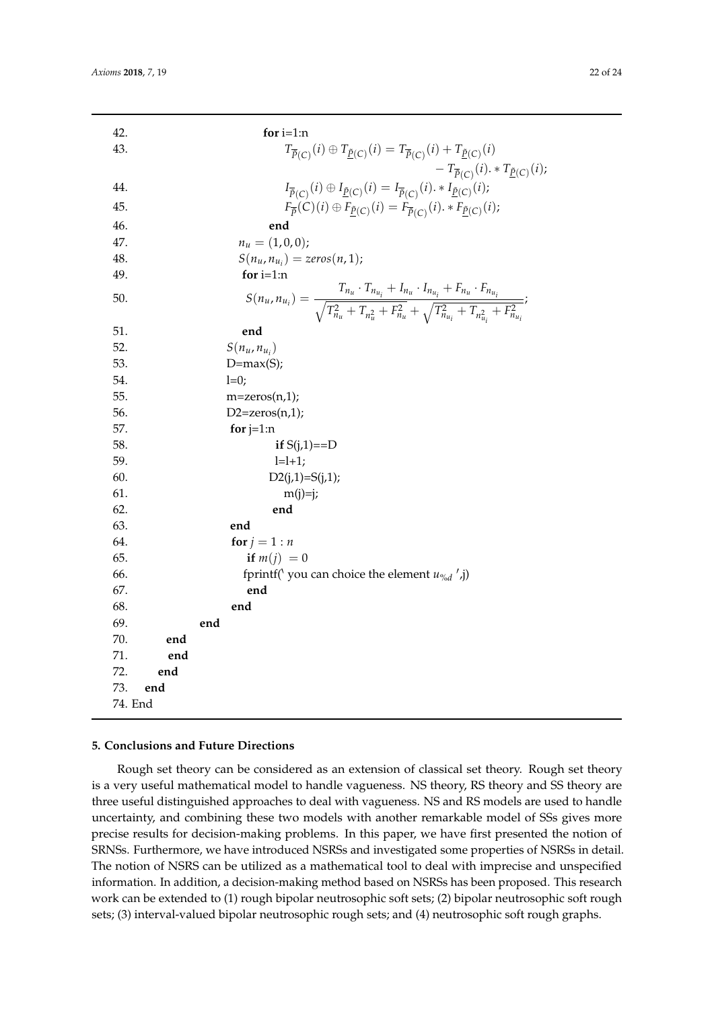| 42.        |     | for $i=1:n$                                                                                                                                                                                                      |
|------------|-----|------------------------------------------------------------------------------------------------------------------------------------------------------------------------------------------------------------------|
| 43.        |     | $T_{\overline{\tilde{P}}(C)}(i) \oplus T_{\underline{\tilde{P}}(C)}(i) = T_{\overline{\tilde{P}}(C)}(i) + T_{\underline{\tilde{P}}(C)}(i)$                                                                       |
|            |     | $-T_{\overline{\tilde{P}}(C)}(i)$ . * $T_{\underline{\tilde{P}}(C)}(i)$ ;                                                                                                                                        |
| 44.        |     | $I_{\overline{\tilde{P}}(C)}(i)\oplus I_{\underline{\tilde{P}}(C)}(i)=I_{\overline{\tilde{P}}(C)}(i)\cdot\ast I_{\underline{\tilde{P}}(C)}(i);$                                                                  |
| 45.        |     | $F_{\overline{\tilde{p}}}(C)(i) \oplus F_{\underline{\tilde{p}}(C)}(i) = F_{\overline{\tilde{p}}(C)}(i) \cdot * F_{\underline{\tilde{p}}(C)}(i);$                                                                |
| 46.        |     | end                                                                                                                                                                                                              |
| 47.        |     | $n_u = (1,0,0);$                                                                                                                                                                                                 |
| 48.        |     | $S(n_{u}, n_{u_i}) = zeros(n, 1);$                                                                                                                                                                               |
| 49.        |     | for $i=1:n$                                                                                                                                                                                                      |
|            |     |                                                                                                                                                                                                                  |
| 50.        |     | $S(n_{u}, n_{u_i}) = \frac{T_{n_u} \cdot T_{n_{u_i}} + I_{n_u} \cdot I_{n_{u_i}} + F_{n_u} \cdot F_{n_{u_i}}}{\sqrt{T_{n_u}^2 + T_{n_u}^2 + F_{n_u}^2} + \sqrt{T_{n_{u_i}}^2 + T_{n_{u_i}}^2 + F_{n_{u_i}}^2}};$ |
|            |     |                                                                                                                                                                                                                  |
| 51.        |     | end                                                                                                                                                                                                              |
| 52.        |     | $S(n_u,n_{u_i})$                                                                                                                                                                                                 |
| 53.<br>54. |     | $D=max(S);$<br>$l=0;$                                                                                                                                                                                            |
| 55.        |     | $m = zeros(n,1);$                                                                                                                                                                                                |
| 56.        |     | $D2 = zeros(n,1);$                                                                                                                                                                                               |
| 57.        |     | for $j=1:n$                                                                                                                                                                                                      |
| 58.        |     | if $S(j,1)=D$                                                                                                                                                                                                    |
| 59.        |     | $l=l+1;$                                                                                                                                                                                                         |
| 60.        |     | $D2(j,1)=S(j,1);$                                                                                                                                                                                                |
| 61.        |     | $m(j)=j;$                                                                                                                                                                                                        |
| 62.        |     | end                                                                                                                                                                                                              |
| 63.        |     | end                                                                                                                                                                                                              |
| 64.        |     | for $j = 1:n$                                                                                                                                                                                                    |
| 65.        |     | if $m(j) = 0$                                                                                                                                                                                                    |
| 66.        |     | fprintf('you can choice the element $u_{\%d}$ ',j)                                                                                                                                                               |
| 67.        |     | end                                                                                                                                                                                                              |
| 68.        |     | end                                                                                                                                                                                                              |
| 69.        |     | end                                                                                                                                                                                                              |
| 70.        | end |                                                                                                                                                                                                                  |
| 71.        | end |                                                                                                                                                                                                                  |
| 72.        | end |                                                                                                                                                                                                                  |
| 73.        | end |                                                                                                                                                                                                                  |
| 74. End    |     |                                                                                                                                                                                                                  |

#### **5. Conclusions and Future Directions**

Rough set theory can be considered as an extension of classical set theory. Rough set theory is a very useful mathematical model to handle vagueness. NS theory, RS theory and SS theory are three useful distinguished approaches to deal with vagueness. NS and RS models are used to handle uncertainty, and combining these two models with another remarkable model of SSs gives more precise results for decision-making problems. In this paper, we have first presented the notion of SRNSs. Furthermore, we have introduced NSRSs and investigated some properties of NSRSs in detail. The notion of NSRS can be utilized as a mathematical tool to deal with imprecise and unspecified information. In addition, a decision-making method based on NSRSs has been proposed. This research work can be extended to (1) rough bipolar neutrosophic soft sets; (2) bipolar neutrosophic soft rough sets; (3) interval-valued bipolar neutrosophic rough sets; and (4) neutrosophic soft rough graphs.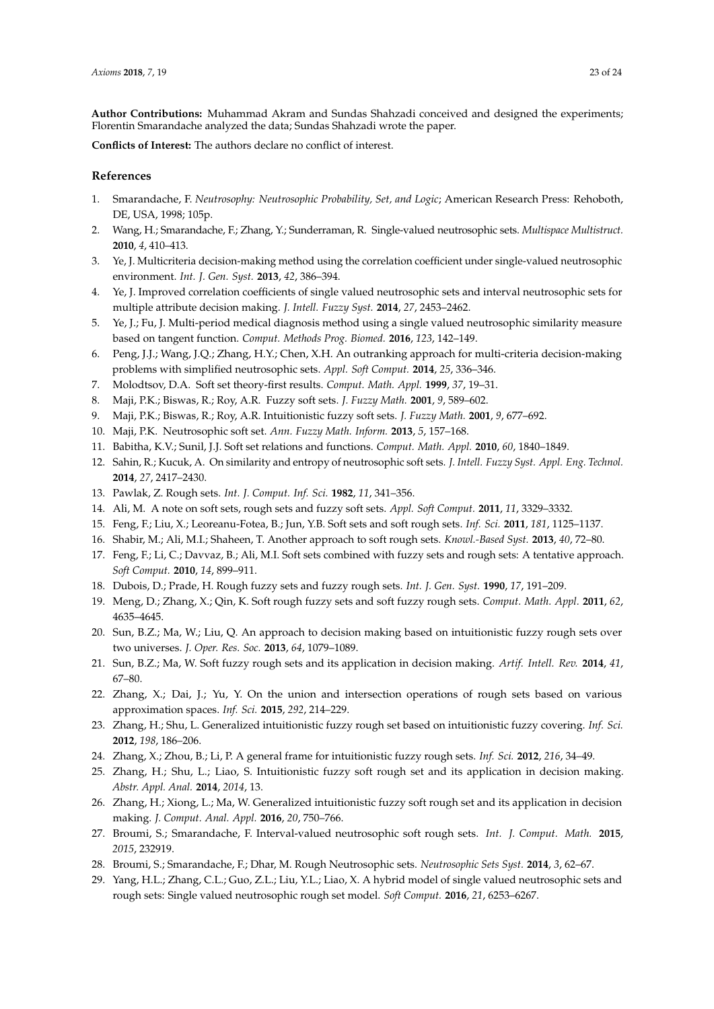**Author Contributions:** Muhammad Akram and Sundas Shahzadi conceived and designed the experiments; Florentin Smarandache analyzed the data; Sundas Shahzadi wrote the paper.

**Conflicts of Interest:** The authors declare no conflict of interest.

### **References**

- <span id="page-22-0"></span>1. Smarandache, F. *Neutrosophy: Neutrosophic Probability, Set, and Logic*; American Research Press: Rehoboth, DE, USA, 1998; 105p.
- <span id="page-22-1"></span>2. Wang, H.; Smarandache, F.; Zhang, Y.; Sunderraman, R. Single-valued neutrosophic sets. *Multispace Multistruct.* **2010**, *4*, 410–413.
- <span id="page-22-2"></span>3. Ye, J. Multicriteria decision-making method using the correlation coefficient under single-valued neutrosophic environment. *Int. J. Gen. Syst.* **2013**, *42*, 386–394.
- 4. Ye, J. Improved correlation coefficients of single valued neutrosophic sets and interval neutrosophic sets for multiple attribute decision making. *J. Intell. Fuzzy Syst.* **2014**, *27*, 2453–2462.
- <span id="page-22-3"></span>5. Ye, J.; Fu, J. Multi-period medical diagnosis method using a single valued neutrosophic similarity measure based on tangent function. *Comput. Methods Prog. Biomed.* **2016**, *123*, 142–149.
- <span id="page-22-4"></span>6. Peng, J.J.; Wang, J.Q.; Zhang, H.Y.; Chen, X.H. An outranking approach for multi-criteria decision-making problems with simplified neutrosophic sets. *Appl. Soft Comput.* **2014**, *25*, 336–346.
- <span id="page-22-5"></span>7. Molodtsov, D.A. Soft set theory-first results. *Comput. Math. Appl.* **1999**, *37*, 19–31.
- <span id="page-22-6"></span>8. Maji, P.K.; Biswas, R.; Roy, A.R. Fuzzy soft sets. *J. Fuzzy Math.* **2001**, *9*, 589–602.
- 9. Maji, P.K.; Biswas, R.; Roy, A.R. Intuitionistic fuzzy soft sets. *J. Fuzzy Math.* **2001**, *9*, 677–692.
- <span id="page-22-7"></span>10. Maji, P.K. Neutrosophic soft set. *Ann. Fuzzy Math. Inform.* **2013**, *5*, 157–168.
- <span id="page-22-8"></span>11. Babitha, K.V.; Sunil, J.J. Soft set relations and functions. *Comput. Math. Appl.* **2010**, *60*, 1840–1849.
- <span id="page-22-9"></span>12. Sahin, R.; Kucuk, A. On similarity and entropy of neutrosophic soft sets. *J. Intell. Fuzzy Syst. Appl. Eng. Technol.* **2014**, *27*, 2417–2430.
- <span id="page-22-10"></span>13. Pawlak, Z. Rough sets. *Int. J. Comput. Inf. Sci.* **1982**, *11*, 341–356.
- <span id="page-22-11"></span>14. Ali, M. A note on soft sets, rough sets and fuzzy soft sets. *Appl. Soft Comput.* **2011**, *11*, 3329–3332.
- <span id="page-22-12"></span>15. Feng, F.; Liu, X.; Leoreanu-Fotea, B.; Jun, Y.B. Soft sets and soft rough sets. *Inf. Sci.* **2011**, *181*, 1125–1137.
- <span id="page-22-13"></span>16. Shabir, M.; Ali, M.I.; Shaheen, T. Another approach to soft rough sets. *Knowl.-Based Syst.* **2013**, *40*, 72–80.
- <span id="page-22-14"></span>17. Feng, F.; Li, C.; Davvaz, B.; Ali, M.I. Soft sets combined with fuzzy sets and rough sets: A tentative approach. *Soft Comput.* **2010**, *14*, 899–911.
- <span id="page-22-15"></span>18. Dubois, D.; Prade, H. Rough fuzzy sets and fuzzy rough sets. *Int. J. Gen. Syst.* **1990**, *17*, 191–209.
- <span id="page-22-16"></span>19. Meng, D.; Zhang, X.; Qin, K. Soft rough fuzzy sets and soft fuzzy rough sets. *Comput. Math. Appl.* **2011**, *62*, 4635–4645.
- <span id="page-22-17"></span>20. Sun, B.Z.; Ma, W.; Liu, Q. An approach to decision making based on intuitionistic fuzzy rough sets over two universes. *J. Oper. Res. Soc.* **2013**, *64*, 1079–1089.
- <span id="page-22-18"></span>21. Sun, B.Z.; Ma, W. Soft fuzzy rough sets and its application in decision making. *Artif. Intell. Rev.* **2014**, *41*, 67–80.
- <span id="page-22-19"></span>22. Zhang, X.; Dai, J.; Yu, Y. On the union and intersection operations of rough sets based on various approximation spaces. *Inf. Sci.* **2015**, *292*, 214–229.
- 23. Zhang, H.; Shu, L. Generalized intuitionistic fuzzy rough set based on intuitionistic fuzzy covering. *Inf. Sci.* **2012**, *198*, 186–206.
- <span id="page-22-20"></span>24. Zhang, X.; Zhou, B.; Li, P. A general frame for intuitionistic fuzzy rough sets. *Inf. Sci.* **2012**, *216*, 34–49.
- <span id="page-22-21"></span>25. Zhang, H.; Shu, L.; Liao, S. Intuitionistic fuzzy soft rough set and its application in decision making. *Abstr. Appl. Anal.* **2014**, *2014*, 13.
- <span id="page-22-22"></span>26. Zhang, H.; Xiong, L.; Ma, W. Generalized intuitionistic fuzzy soft rough set and its application in decision making. *J. Comput. Anal. Appl.* **2016**, *20*, 750–766.
- <span id="page-22-23"></span>27. Broumi, S.; Smarandache, F. Interval-valued neutrosophic soft rough sets. *Int. J. Comput. Math.* **2015**, *2015*, 232919.
- <span id="page-22-24"></span>28. Broumi, S.; Smarandache, F.; Dhar, M. Rough Neutrosophic sets. *Neutrosophic Sets Syst.* **2014**, *3*, 62–67.
- <span id="page-22-25"></span>29. Yang, H.L.; Zhang, C.L.; Guo, Z.L.; Liu, Y.L.; Liao, X. A hybrid model of single valued neutrosophic sets and rough sets: Single valued neutrosophic rough set model. *Soft Comput.* **2016**, *21*, 6253–6267.